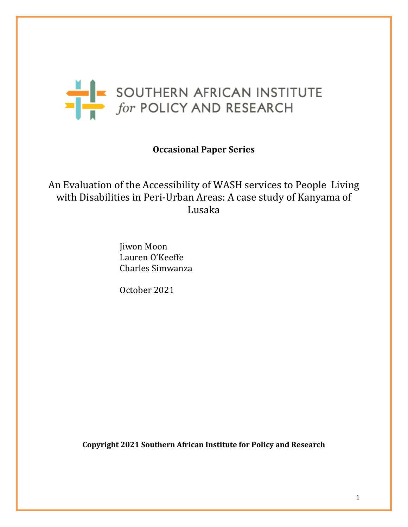

# **Occasional Paper Series**

An Evaluation of the Accessibility of WASH services to People Living with Disabilities in Peri-Urban Areas: A case study of Kanyama of Lusaka

> Jiwon Moon Lauren O'Keeffe Charles Simwanza

October 2021

**Copyright 2021 Southern African Institute for Policy and Research**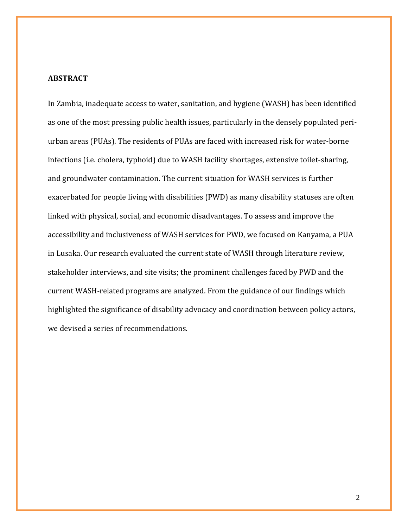# **ABSTRACT**

In Zambia, inadequate access to water, sanitation, and hygiene (WASH) has been identified as one of the most pressing public health issues, particularly in the densely populated periurban areas (PUAs). The residents of PUAs are faced with increased risk for water-borne infections (i.e. cholera, typhoid) due to WASH facility shortages, extensive toilet-sharing, and groundwater contamination. The current situation for WASH services is further exacerbated for people living with disabilities (PWD) as many disability statuses are often linked with physical, social, and economic disadvantages. To assess and improve the accessibility and inclusiveness of WASH services for PWD, we focused on Kanyama, a PUA in Lusaka. Our research evaluated the current state of WASH through literature review, stakeholder interviews, and site visits; the prominent challenges faced by PWD and the current WASH-related programs are analyzed. From the guidance of our findings which highlighted the significance of disability advocacy and coordination between policy actors, we devised a series of recommendations.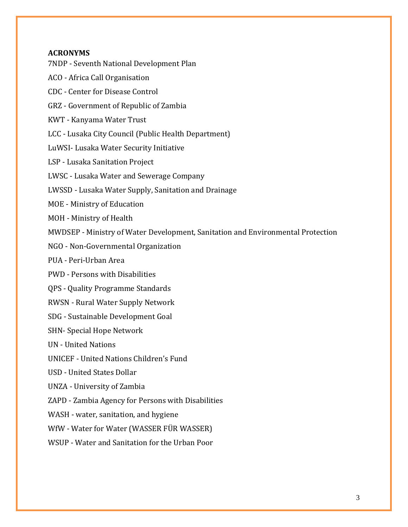# **ACRONYMS**

7NDP - Seventh National Development Plan

ACO - Africa Call Organisation

CDC - Center for Disease Control

GRZ - Government of Republic of Zambia

KWT - Kanyama Water Trust

LCC - Lusaka City Council (Public Health Department)

LuWSI- Lusaka Water Security Initiative

LSP - Lusaka Sanitation Project

LWSC - Lusaka Water and Sewerage Company

LWSSD - Lusaka Water Supply, Sanitation and Drainage

MOE - Ministry of Education

MOH - Ministry of Health

MWDSEP - Ministry of Water Development, Sanitation and Environmental Protection

NGO - Non-Governmental Organization

PUA - Peri-Urban Area

PWD - Persons with Disabilities

QPS - Quality Programme Standards

RWSN - Rural Water Supply Network

SDG - Sustainable Development Goal

SHN- Special Hope Network

UN - United Nations

UNICEF - United Nations Children's Fund

USD - United States Dollar

UNZA - University of Zambia

ZAPD - Zambia Agency for Persons with Disabilities

WASH - water, sanitation, and hygiene

WfW - Water for Water (WASSER FÜR WASSER)

WSUP - Water and Sanitation for the Urban Poor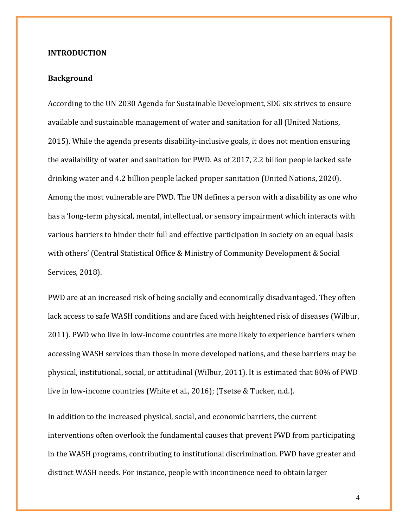### **INTRODUCTION**

# **Background**

According to the UN 2030 Agenda for Sustainable Development, SDG six strives to ensure available and sustainable management of water and sanitation for all [\(United Nations,](https://www.zotero.org/google-docs/?hCXdem)  [2015\).](https://www.zotero.org/google-docs/?hCXdem) While the agenda presents disability-inclusive goals, it does not mention ensuring the availability of water and sanitation for PWD. As of 2017, 2.2 billion people lacked safe drinking water and 4.2 billion people lacked proper sanitation [\(United Nations, 2020\).](https://www.zotero.org/google-docs/?qXSeMU) Among the most vulnerable are PWD. The UN defines a person with a disability as one who has a 'long-term physical, mental, intellectual, or sensory impairment which interacts with various barriers to hinder their full and effective participation in society on an equal basis with others' [\(Central Statistical Office & Ministry of Community Development & Social](https://www.zotero.org/google-docs/?oAjF6M)  [Services, 2018\).](https://www.zotero.org/google-docs/?oAjF6M)

PWD are at an increased risk of being socially and economically disadvantaged. They often lack access to safe WASH conditions and are faced with heightened risk of disease[s \(Wilbur,](https://www.zotero.org/google-docs/?kn1pib)  [2011\).](https://www.zotero.org/google-docs/?kn1pib) PWD who live in low-income countries are more likely to experience barriers when accessing WASH services than those in more developed nations, and these barriers may be physical, institutional, social, or attitudinal [\(Wilbur, 2011\).](https://www.zotero.org/google-docs/?IQzkHt) It is estimated that 80% of PWD live in low-income countries [\(White et al., 2016\);](https://www.zotero.org/google-docs/?c1IOnX) [\(Tsetse & Tucker, n.d.\).](https://www.zotero.org/google-docs/?uVMgzy)

In addition to the increased physical, social, and economic barriers, the current interventions often overlook the fundamental causes that prevent PWD from participating in the WASH programs, contributing to institutional discrimination. PWD have greater and distinct WASH needs. For instance, people with incontinence need to obtain larger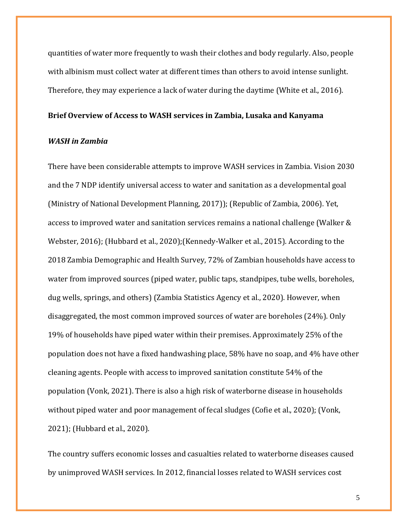quantities of water more frequently to wash their clothes and body regularly. Also, people with albinism must collect water at different times than others to avoid intense sunlight. Therefore, they may experience a lack of water during the daytime [\(White et al., 2016\).](https://www.zotero.org/google-docs/?ThITpt)

#### **Brief Overview of Access to WASH services in Zambia, Lusaka and Kanyama**

#### *WASH in Zambia*

There have been considerable attempts to improve WASH services in Zambia. Vision 2030 and the 7 NDP identify universal access to water and sanitation as a developmental goal [\(Ministry of National Development Planning, 2017\)\)](https://www.zotero.org/google-docs/?QYZ5ar)[; \(Republic of Zambia, 2006\).](https://www.zotero.org/google-docs/?MCcqbn) Yet, access to improved water and sanitation services remains a national challenge [\(Walker &](https://www.zotero.org/google-docs/?qpxjeZ)  [Webster, 2016\);](https://www.zotero.org/google-docs/?qpxjeZ) [\(Hubbard et al., 2020\);](https://www.zotero.org/google-docs/?U2xqbn)[\(Kennedy-Walker et al., 2015\).](https://www.zotero.org/google-docs/?KIt44P) According to the 2018 Zambia Demographic and Health Survey, 72% of Zambian households have access to water from improved sources (piped water, public taps, standpipes, tube wells, boreholes, dug wells, springs, and others) [\(Zambia Statistics Agency et al., 2020\).](https://www.zotero.org/google-docs/?oaRnkw) However, when disaggregated, the most common improved sources of water are boreholes (24%). Only 19% of households have piped water within their premises. Approximately 25% of the population does not have a fixed handwashing place, 58% have no soap, and 4% have other cleaning agents. People with access to improved sanitation constitute 54% of the population [\(Vonk, 2021\).](https://www.zotero.org/google-docs/?usuyqK) There is also a high risk of waterborne disease in households without piped water and poor management of fecal sludges [\(Cofie et al., 2020\);](https://www.zotero.org/google-docs/?FYcMxN) [\(Vonk,](https://www.zotero.org/google-docs/?PqG5Yw)  [2021\);](https://www.zotero.org/google-docs/?PqG5Yw) [\(Hubbard et al., 2020\).](https://www.zotero.org/google-docs/?vKURO6)

The country suffers economic losses and casualties related to waterborne diseases caused by unimproved WASH services. In 2012, financial losses related to WASH services cost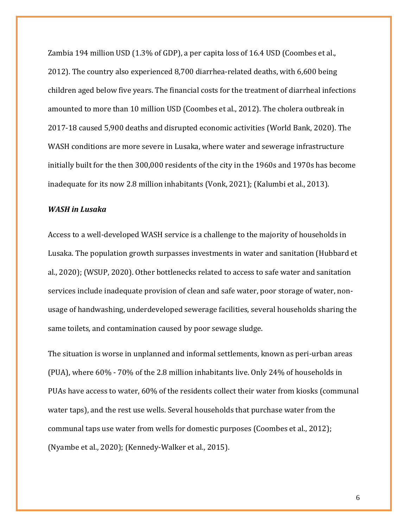Zambia 194 million USD (1.3% of GDP), a per capita loss of 16.4 USD [\(Coombes et al.,](https://www.zotero.org/google-docs/?jRUomD)  [2012\).](https://www.zotero.org/google-docs/?jRUomD) The country also experienced 8,700 diarrhea-related deaths, with 6,600 being children aged below five years. The financial costs for the treatment of diarrheal infections amounted to more than 10 million US[D \(Coombes et al., 2012\).](https://www.zotero.org/google-docs/?TEqjKB) The cholera outbreak in 2017-18 caused 5,900 deaths and disrupted economic activities [\(World Bank, 2020\).](https://www.zotero.org/google-docs/?oaKxsl) The WASH conditions are more severe in Lusaka, where water and sewerage infrastructure initially built for the then 300,000 residents of the city in the 1960s and 1970s has become inadequate for its now 2.8 million inhabitants [\(Vonk, 2021\);](https://www.zotero.org/google-docs/?zmZryE) [\(Kalumbi et al., 2013\).](https://www.zotero.org/google-docs/?ZFz6Ym)

### *WASH in Lusaka*

Access to a well-developed WASH service is a challenge to the majority of households in Lusaka. The population growth surpasses investments in water and sanitation [\(Hubbard et](https://www.zotero.org/google-docs/?LjFBjm)  [al., 2020\);](https://www.zotero.org/google-docs/?LjFBjm) [\(WSUP, 2020\).](https://www.zotero.org/google-docs/?JAGXxl) Other bottlenecks related to access to safe water and sanitation services include inadequate provision of clean and safe water, poor storage of water, nonusage of handwashing, underdeveloped sewerage facilities, several households sharing the same toilets, and contamination caused by poor sewage sludge.

The situation is worse in unplanned and informal settlements, known as peri-urban areas (PUA), where 60% - 70% of the 2.8 million inhabitants live. Only 24% of households in PUAs have access to water, 60% of the residents collect their water from kiosks (communal water taps), and the rest use wells. Several households that purchase water from the communal taps use water from wells for domestic purposes [\(Coombes et al., 2012\);](https://www.zotero.org/google-docs/?zgtr4B) [\(Nyambe et al., 2020\);](https://www.zotero.org/google-docs/?LEzUM4) [\(Kennedy-Walker et al., 2015\).](https://www.zotero.org/google-docs/?YxMrPu)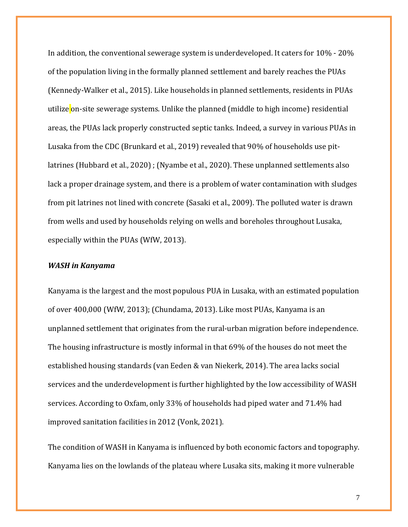In addition, the conventional sewerage system is underdeveloped. It caters for 10% - 20% of the population living in the formally planned settlement and barely reaches the PUAs [\(Kennedy-Walker et al., 2015\).](https://www.zotero.org/google-docs/?DXdETM) Like households in planned settlements, residents in PUAs utilize on-site sewerage systems. Unlike the planned (middle to high income) residential areas, the PUAs lack properly constructed septic tanks. Indeed, a survey in various PUAs in Lusaka from the CD[C \(Brunkard et al., 2019\)](https://www.zotero.org/google-docs/?q7ttbK) revealed that 90% of households use pitlatrines [\(Hubbard et al., 2020\)](https://www.zotero.org/google-docs/?tHGnbT) ; [\(Nyambe et al., 2020\).](https://www.zotero.org/google-docs/?mJORoT) These unplanned settlements also lack a proper drainage system, and there is a problem of water contamination with sludges from pit latrines not lined with concrete [\(Sasaki et al., 2009\).](https://www.zotero.org/google-docs/?EhbrWt) The polluted water is drawn from wells and used by households relying on wells and boreholes throughout Lusaka, especially within the PUAs [\(WfW, 2013\).](https://www.zotero.org/google-docs/?ZgOsol)

### *WASH in Kanyama*

Kanyama is the largest and the most populous PUA in Lusaka, with an estimated population of over 400,000 [\(WfW, 2013\);](https://www.zotero.org/google-docs/?Gqkj3A) [\(Chundama, 2013\).](https://www.zotero.org/google-docs/?Jmu419) Like most PUAs, Kanyama is an unplanned settlement that originates from the rural-urban migration before independence. The housing infrastructure is mostly informal in that 69% of the houses do not meet the established housing standards [\(van Eeden & van Niekerk, 2014\).](https://www.zotero.org/google-docs/?X4UZ2G) The area lacks social services and the underdevelopment is further highlighted by the low accessibility of WASH services. According to Oxfam, only 33% of households had piped water and 71.4% had improved sanitation facilities in 2012 [\(Vonk, 2021\).](https://www.zotero.org/google-docs/?6WZnG7)

The condition of WASH in Kanyama is influenced by both economic factors and topography. Kanyama lies on the lowlands of the plateau where Lusaka sits, making it more vulnerable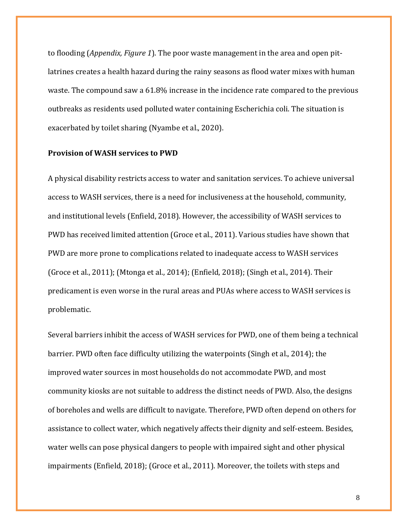to flooding (*Appendix, Figure 1*). The poor waste management in the area and open pitlatrines creates a health hazard during the rainy seasons as flood water mixes with human waste. The compound saw a 61.8% increase in the incidence rate compared to the previous outbreaks as residents used polluted water containing Escherichia coli. The situation is exacerbated by toilet sharing [\(Nyambe et al., 2020\).](https://www.zotero.org/google-docs/?Gbk7TI)

### **Provision of WASH services to PWD**

A physical disability restricts access to water and sanitation services. To achieve universal access to WASH services, there is a need for inclusiveness at the household, community, and institutional levels [\(Enfield, 2018\).](https://www.zotero.org/google-docs/?TOEzMq) However, the accessibility of WASH services to PWD has received limited attention [\(Groce et al., 2011\).](https://www.zotero.org/google-docs/?mqgpYp) Various studies have shown that PWD are more prone to complications related to inadequate access to WASH services [\(Groce et al., 2011\);](https://www.zotero.org/google-docs/?kCkqfE) [\(Mtonga et al., 2014\);](https://www.zotero.org/google-docs/?pM9M7g) [\(Enfield, 2018\);](https://www.zotero.org/google-docs/?sULicJ) [\(Singh et al., 2014\).](https://www.zotero.org/google-docs/?if9PbD) Their predicament is even worse in the rural areas and PUAs where access to WASH services is problematic.

Several barriers inhibit the access of WASH services for PWD, one of them being a technical barrier. PWD often face difficulty utilizing the waterpoints [\(Singh et al., 2014\);](https://www.zotero.org/google-docs/?j0cRkn) the improved water sources in most households do not accommodate PWD, and most community kiosks are not suitable to address the distinct needs of PWD. Also, the designs of boreholes and wells are difficult to navigate. Therefore, PWD often depend on others for assistance to collect water, which negatively affects their dignity and self-esteem. Besides, water wells can pose physical dangers to people with impaired sight and other physical impairments [\(Enfield, 2018\);](https://www.zotero.org/google-docs/?WYPPHU) [\(Groce et al., 2011\).](https://www.zotero.org/google-docs/?px3Ka7) Moreover, the toilets with steps and

8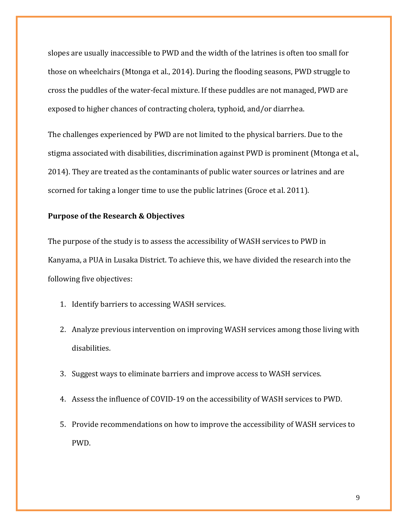slopes are usually inaccessible to PWD and the width of the latrines is often too small for those on wheelchairs [\(Mtonga et al., 2014\).](https://www.zotero.org/google-docs/?svwILM) During the flooding seasons, PWD struggle to cross the puddles of the water-fecal mixture. If these puddles are not managed, PWD are exposed to higher chances of contracting cholera, typhoid, and/or diarrhea.

The challenges experienced by PWD are not limited to the physical barriers. Due to the stigma associated with disabilities, discrimination against PWD is prominent [\(Mtonga et al.,](https://www.zotero.org/google-docs/?POkr9Z)  [2014\).](https://www.zotero.org/google-docs/?POkr9Z) They are treated as the contaminants of public water sources or latrines and are scorned for taking a longer time to use the public latrines (Groce et al. 2011).

# **Purpose of the Research & Objectives**

The purpose of the study is to assess the accessibility of WASH services to PWD in Kanyama, a PUA in Lusaka District. To achieve this, we have divided the research into the following five objectives:

- 1. Identify barriers to accessing WASH services.
- 2. Analyze previous intervention on improving WASH services among those living with disabilities.
- 3. Suggest ways to eliminate barriers and improve access to WASH services.
- 4. Assess the influence of COVID-19 on the accessibility of WASH services to PWD.
- 5. Provide recommendations on how to improve the accessibility of WASH services to PWD.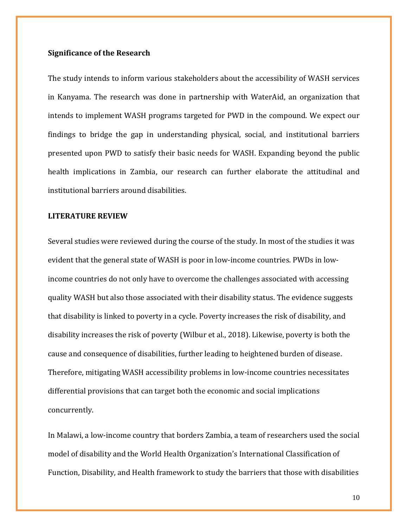### **Significance of the Research**

The study intends to inform various stakeholders about the accessibility of WASH services in Kanyama. The research was done in partnership with WaterAid, an organization that intends to implement WASH programs targeted for PWD in the compound. We expect our findings to bridge the gap in understanding physical, social, and institutional barriers presented upon PWD to satisfy their basic needs for WASH. Expanding beyond the public health implications in Zambia, our research can further elaborate the attitudinal and institutional barriers around disabilities.

# **LITERATURE REVIEW**

Several studies were reviewed during the course of the study. In most of the studies it was evident that the general state of WASH is poor in low-income countries. PWDs in lowincome countries do not only have to overcome the challenges associated with accessing quality WASH but also those associated with their disability status. The evidence suggests that disability is linked to poverty in a cycle. Poverty increases the risk of disability, and disability increases the risk of poverty [\(Wilbur et al., 2018\).](https://www.zotero.org/google-docs/?TivtGe) Likewise, poverty is both the cause and consequence of disabilities, further leading to heightened burden of disease. Therefore, mitigating WASH accessibility problems in low-income countries necessitates differential provisions that can target both the economic and social implications concurrently.

In Malawi, a low-income country that borders Zambia, a team of researchers used the social model of disability and the World Health Organization's International Classification of Function, Disability, and Health framework to study the barriers that those with disabilities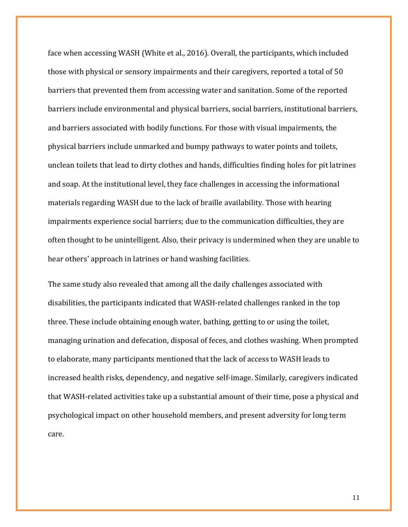face when accessing WASH [\(White et al., 2016\).](https://www.zotero.org/google-docs/?VIm384) Overall, the participants, which included those with physical or sensory impairments and their caregivers, reported a total of 50 barriers that prevented them from accessing water and sanitation. Some of the reported barriers include environmental and physical barriers, social barriers, institutional barriers, and barriers associated with bodily functions. For those with visual impairments, the physical barriers include unmarked and bumpy pathways to water points and toilets, unclean toilets that lead to dirty clothes and hands, difficulties finding holes for pit latrines and soap. At the institutional level, they face challenges in accessing the informational materials regarding WASH due to the lack of braille availability. Those with hearing impairments experience social barriers; due to the communication difficulties, they are often thought to be unintelligent. Also, their privacy is undermined when they are unable to hear others' approach in latrines or hand washing facilities.

The same study also revealed that among all the daily challenges associated with disabilities, the participants indicated that WASH-related challenges ranked in the top three. These include obtaining enough water, bathing, getting to or using the toilet, managing urination and defecation, disposal of feces, and clothes washing. When prompted to elaborate, many participants mentioned that the lack of access to WASH leads to increased health risks, dependency, and negative self-image. Similarly, caregivers indicated that WASH-related activities take up a substantial amount of their time, pose a physical and psychological impact on other household members, and present adversity for long term care.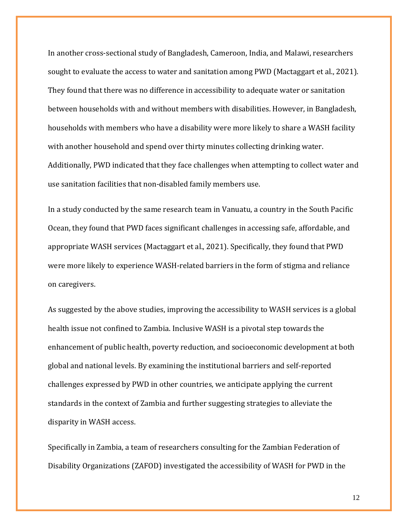In another cross-sectional study of Bangladesh, Cameroon, India, and Malawi, researchers sought to evaluate the access to water and sanitation among PWD [\(Mactaggart et al., 2021\).](https://www.zotero.org/google-docs/?foWgfM) They found that there was no difference in accessibility to adequate water or sanitation between households with and without members with disabilities. However, in Bangladesh, households with members who have a disability were more likely to share a WASH facility with another household and spend over thirty minutes collecting drinking water. Additionally, PWD indicated that they face challenges when attempting to collect water and use sanitation facilities that non-disabled family members use.

In a study conducted by the same research team in Vanuatu, a country in the South Pacific Ocean, they found that PWD faces significant challenges in accessing safe, affordable, and appropriate WASH services [\(Mactaggart et al., 2021\).](https://www.zotero.org/google-docs/?PyB2oX) Specifically, they found that PWD were more likely to experience WASH-related barriers in the form of stigma and reliance on caregivers.

As suggested by the above studies, improving the accessibility to WASH services is a global health issue not confined to Zambia. Inclusive WASH is a pivotal step towards the enhancement of public health, poverty reduction, and socioeconomic development at both global and national levels. By examining the institutional barriers and self-reported challenges expressed by PWD in other countries, we anticipate applying the current standards in the context of Zambia and further suggesting strategies to alleviate the disparity in WASH access.

Specifically in Zambia, a team of researchers consulting for the Zambian Federation of Disability Organizations (ZAFOD) investigated the accessibility of WASH for PWD in the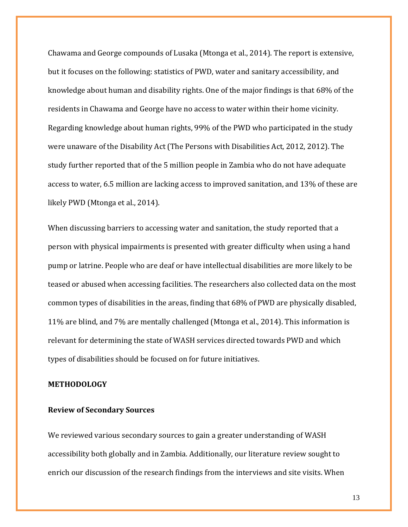Chawama and George compounds of Lusak[a \(Mtonga et al., 2014\).](https://www.zotero.org/google-docs/?on0UMs) The report is extensive, but it focuses on the following: statistics of PWD, water and sanitary accessibility, and knowledge about human and disability rights. One of the major findings is that 68% of the residents in Chawama and George have no access to water within their home vicinity. Regarding knowledge about human rights, 99% of the PWD who participated in the study were unaware of the Disability Act [\(The Persons with Disabilities](https://www.zotero.org/google-docs/?xTnjze) [Act, 2012, 2012\).](https://www.zotero.org/google-docs/?xTnjze) The study further reported that of the 5 million people in Zambia who do not have adequate access to water, 6.5 million are lacking access to improved sanitation, and 13% of these are likely PWD [\(Mtonga et al., 2014\).](https://www.zotero.org/google-docs/?JX2Vxg)

When discussing barriers to accessing water and sanitation, the study reported that a person with physical impairments is presented with greater difficulty when using a hand pump or latrine. People who are deaf or have intellectual disabilities are more likely to be teased or abused when accessing facilities. The researchers also collected data on the most common types of disabilities in the areas, finding that 68% of PWD are physically disabled, 11% are blind, and 7% are mentally challenged [\(Mtonga et al., 2014\).](https://www.zotero.org/google-docs/?JhAgdQ) This information is relevant for determining the state of WASH services directed towards PWD and which types of disabilities should be focused on for future initiatives.

# **METHODOLOGY**

# **Review of Secondary Sources**

We reviewed various secondary sources to gain a greater understanding of WASH accessibility both globally and in Zambia. Additionally, our literature review sought to enrich our discussion of the research findings from the interviews and site visits. When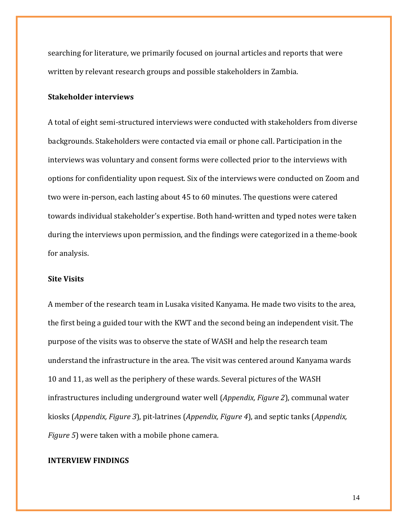searching for literature, we primarily focused on journal articles and reports that were written by relevant research groups and possible stakeholders in Zambia.

### **Stakeholder interviews**

A total of eight semi-structured interviews were conducted with stakeholders from diverse backgrounds. Stakeholders were contacted via email or phone call. Participation in the interviews was voluntary and consent forms were collected prior to the interviews with options for confidentiality upon request. Six of the interviews were conducted on Zoom and two were in-person, each lasting about 45 to 60 minutes. The questions were catered towards individual stakeholder's expertise. Both hand-written and typed notes were taken during the interviews upon permission, and the findings were categorized in a theme-book for analysis.

# **Site Visits**

A member of the research team in Lusaka visited Kanyama. He made two visits to the area, the first being a guided tour with the KWT and the second being an independent visit. The purpose of the visits was to observe the state of WASH and help the research team understand the infrastructure in the area. The visit was centered around Kanyama wards 10 and 11, as well as the periphery of these wards. Several pictures of the WASH infrastructures including underground water well (*Appendix, Figure 2*), communal water kiosks (*Appendix, Figure 3*), pit-latrines (*Appendix, Figure 4*), and septic tanks (*Appendix, Figure 5*) were taken with a mobile phone camera.

#### **INTERVIEW FINDINGS**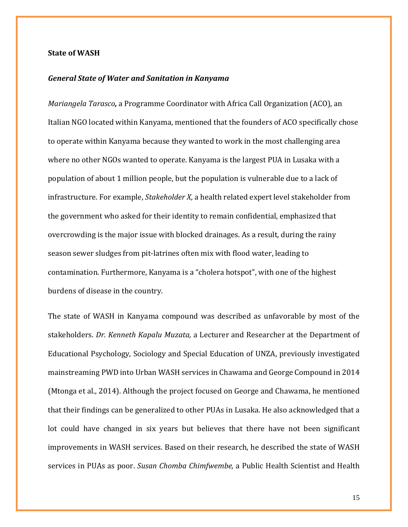#### **State of WASH**

# *General State of Water and Sanitation in Kanyama*

*Mariangela Tarasco,* a Programme Coordinator with Africa Call Organization (ACO), an Italian NGO located within Kanyama, mentioned that the founders of ACO specifically chose to operate within Kanyama because they wanted to work in the most challenging area where no other NGOs wanted to operate. Kanyama is the largest PUA in Lusaka with a population of about 1 million people, but the population is vulnerable due to a lack of infrastructure. For example, *Stakeholder X*, a health related expert level stakeholder from the government who asked for their identity to remain confidential, emphasized that overcrowding is the major issue with blocked drainages. As a result, during the rainy season sewer sludges from pit-latrines often mix with flood water, leading to contamination. Furthermore, Kanyama is a "cholera hotspot", with one of the highest burdens of disease in the country.

The state of WASH in Kanyama compound was described as unfavorable by most of the stakeholders. *Dr. Kenneth Kapalu Muzata,* a Lecturer and Researcher at the Department of Educational Psychology, Sociology and Special Education of UNZA, previously investigated mainstreaming PWD into Urban WASH services in Chawama and George Compound in 2014 [\(Mtonga et al., 2014\).](https://www.zotero.org/google-docs/?nsoBKb) Although the project focused on George and Chawama, he mentioned that their findings can be generalized to other PUAs in Lusaka. He also acknowledged that a lot could have changed in six years but believes that there have not been significant improvements in WASH services. Based on their research, he described the state of WASH services in PUAs as poor. *Susan Chomba Chimfwembe,* a Public Health Scientist and Health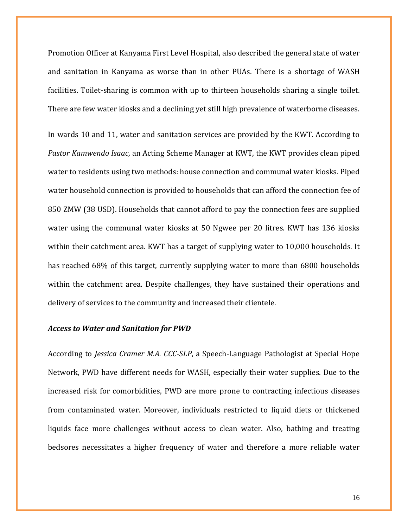Promotion Officer at Kanyama First Level Hospital, also described the general state of water and sanitation in Kanyama as worse than in other PUAs. There is a shortage of WASH facilities. Toilet-sharing is common with up to thirteen households sharing a single toilet. There are few water kiosks and a declining yet still high prevalence of waterborne diseases.

In wards 10 and 11, water and sanitation services are provided by the KWT. According to *Pastor Kamwendo Isaac*, an Acting Scheme Manager at KWT, the KWT provides clean piped water to residents using two methods: house connection and communal water kiosks. Piped water household connection is provided to households that can afford the connection fee of 850 ZMW (38 USD). Households that cannot afford to pay the connection fees are supplied water using the communal water kiosks at 50 Ngwee per 20 litres. KWT has 136 kiosks within their catchment area. KWT has a target of supplying water to 10,000 households. It has reached 68% of this target, currently supplying water to more than 6800 households within the catchment area. Despite challenges, they have sustained their operations and delivery of services to the community and increased their clientele.

#### *Access to Water and Sanitation for PWD*

According to *Jessica Cramer M.A. CCC-SLP*, a Speech-Language Pathologist at Special Hope Network, PWD have different needs for WASH, especially their water supplies. Due to the increased risk for comorbidities, PWD are more prone to contracting infectious diseases from contaminated water. Moreover, individuals restricted to liquid diets or thickened liquids face more challenges without access to clean water. Also, bathing and treating bedsores necessitates a higher frequency of water and therefore a more reliable water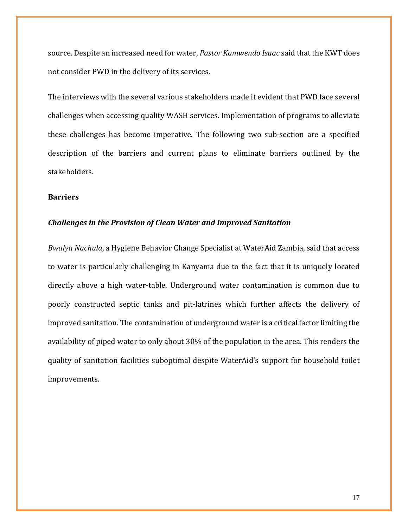source. Despite an increased need for water, *Pastor Kamwendo Isaac* said that the KWT does not consider PWD in the delivery of its services.

The interviews with the several various stakeholders made it evident that PWD face several challenges when accessing quality WASH services. Implementation of programs to alleviate these challenges has become imperative. The following two sub-section are a specified description of the barriers and current plans to eliminate barriers outlined by the stakeholders.

### **Barriers**

#### *Challenges in the Provision of Clean Water and Improved Sanitation*

*Bwalya Nachula*, a Hygiene Behavior Change Specialist at WaterAid Zambia, said that access to water is particularly challenging in Kanyama due to the fact that it is uniquely located directly above a high water-table. Underground water contamination is common due to poorly constructed septic tanks and pit-latrines which further affects the delivery of improved sanitation. The contamination of underground water is a critical factor limiting the availability of piped water to only about 30% of the population in the area. This renders the quality of sanitation facilities suboptimal despite WaterAid's support for household toilet improvements.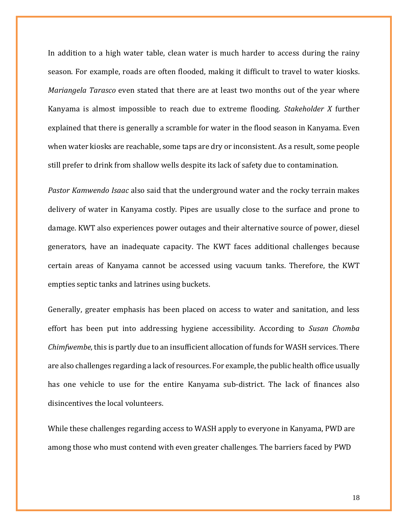In addition to a high water table, clean water is much harder to access during the rainy season. For example, roads are often flooded, making it difficult to travel to water kiosks. *Mariangela Tarasco* even stated that there are at least two months out of the year where Kanyama is almost impossible to reach due to extreme flooding. *Stakeholder X* further explained that there is generally a scramble for water in the flood season in Kanyama. Even when water kiosks are reachable, some taps are dry or inconsistent. As a result, some people still prefer to drink from shallow wells despite its lack of safety due to contamination.

*Pastor Kamwendo Isaac* also said that the underground water and the rocky terrain makes delivery of water in Kanyama costly. Pipes are usually close to the surface and prone to damage. KWT also experiences power outages and their alternative source of power, diesel generators, have an inadequate capacity. The KWT faces additional challenges because certain areas of Kanyama cannot be accessed using vacuum tanks. Therefore, the KWT empties septic tanks and latrines using buckets.

Generally, greater emphasis has been placed on access to water and sanitation, and less effort has been put into addressing hygiene accessibility. According to *Susan Chomba Chimfwembe*, this is partly due to an insufficient allocation of funds for WASH services. There are also challenges regarding a lack of resources. For example, the public health office usually has one vehicle to use for the entire Kanyama sub-district. The lack of finances also disincentives the local volunteers.

While these challenges regarding access to WASH apply to everyone in Kanyama, PWD are among those who must contend with even greater challenges. The barriers faced by PWD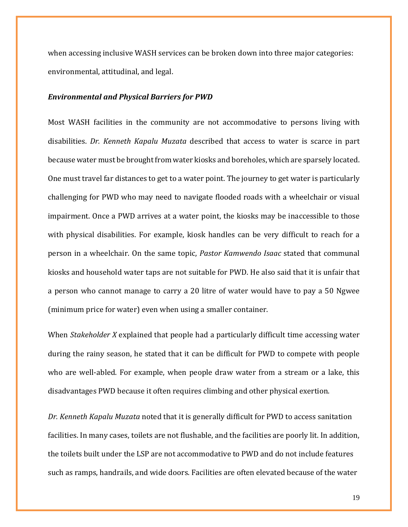when accessing inclusive WASH services can be broken down into three major categories: environmental, attitudinal, and legal.

#### *Environmental and Physical Barriers for PWD*

Most WASH facilities in the community are not accommodative to persons living with disabilities. *Dr. Kenneth Kapalu Muzata* described that access to water is scarce in part because water must be brought from water kiosks and boreholes, which are sparsely located. One must travel far distances to get to a water point. The journey to get water is particularly challenging for PWD who may need to navigate flooded roads with a wheelchair or visual impairment. Once a PWD arrives at a water point, the kiosks may be inaccessible to those with physical disabilities. For example, kiosk handles can be very difficult to reach for a person in a wheelchair. On the same topic, *Pastor Kamwendo Isaac* stated that communal kiosks and household water taps are not suitable for PWD. He also said that it is unfair that a person who cannot manage to carry a 20 litre of water would have to pay a 50 Ngwee (minimum price for water) even when using a smaller container.

When *Stakeholder X* explained that people had a particularly difficult time accessing water during the rainy season, he stated that it can be difficult for PWD to compete with people who are well-abled. For example, when people draw water from a stream or a lake, this disadvantages PWD because it often requires climbing and other physical exertion.

*Dr. Kenneth Kapalu Muzata* noted that it is generally difficult for PWD to access sanitation facilities. In many cases, toilets are not flushable, and the facilities are poorly lit. In addition, the toilets built under the LSP are not accommodative to PWD and do not include features such as ramps, handrails, and wide doors. Facilities are often elevated because of the water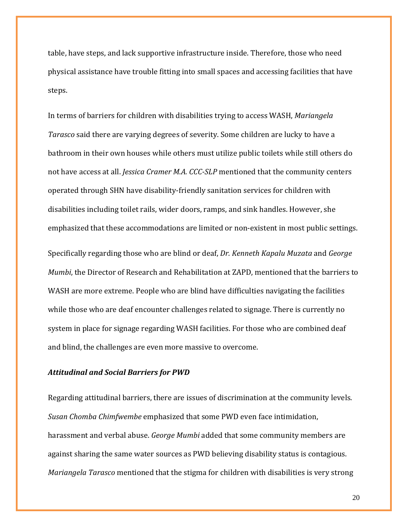table, have steps, and lack supportive infrastructure inside. Therefore, those who need physical assistance have trouble fitting into small spaces and accessing facilities that have steps.

In terms of barriers for children with disabilities trying to access WASH, *Mariangela Tarasco* said there are varying degrees of severity. Some children are lucky to have a bathroom in their own houses while others must utilize public toilets while still others do not have access at all. *Jessica Cramer M.A. CCC-SLP* mentioned that the community centers operated through SHN have disability-friendly sanitation services for children with disabilities including toilet rails, wider doors, ramps, and sink handles. However, she emphasized that these accommodations are limited or non-existent in most public settings.

Specifically regarding those who are blind or deaf, *Dr. Kenneth Kapalu Muzata* and *George Mumbi*, the Director of Research and Rehabilitation at ZAPD, mentioned that the barriers to WASH are more extreme. People who are blind have difficulties navigating the facilities while those who are deaf encounter challenges related to signage. There is currently no system in place for signage regarding WASH facilities. For those who are combined deaf and blind, the challenges are even more massive to overcome.

### *Attitudinal and Social Barriers for PWD*

Regarding attitudinal barriers, there are issues of discrimination at the community levels. *Susan Chomba Chimfwembe* emphasized that some PWD even face intimidation, harassment and verbal abuse. *George Mumbi* added that some community members are against sharing the same water sources as PWD believing disability status is contagious. *Mariangela Tarasco* mentioned that the stigma for children with disabilities is very strong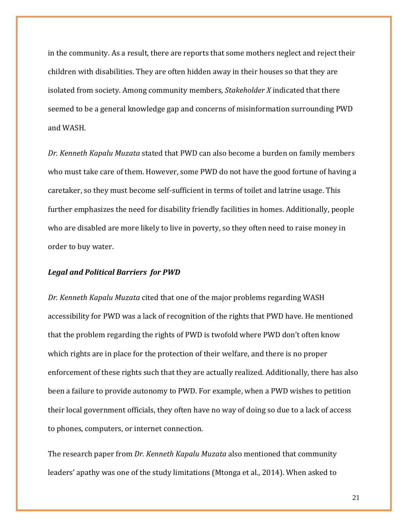in the community. As a result, there are reports that some mothers neglect and reject their children with disabilities. They are often hidden away in their houses so that they are isolated from society. Among community members, *Stakeholder X* indicated that there seemed to be a general knowledge gap and concerns of misinformation surrounding PWD and WASH.

*Dr. Kenneth Kapalu Muzata* stated that PWD can also become a burden on family members who must take care of them. However, some PWD do not have the good fortune of having a caretaker, so they must become self-sufficient in terms of toilet and latrine usage. This further emphasizes the need for disability friendly facilities in homes. Additionally, people who are disabled are more likely to live in poverty, so they often need to raise money in order to buy water.

### *Legal and Political Barriers for PWD*

*Dr. Kenneth Kapalu Muzata* cited that one of the major problems regarding WASH accessibility for PWD was a lack of recognition of the rights that PWD have. He mentioned that the problem regarding the rights of PWD is twofold where PWD don't often know which rights are in place for the protection of their welfare, and there is no proper enforcement of these rights such that they are actually realized. Additionally, there has also been a failure to provide autonomy to PWD. For example, when a PWD wishes to petition their local government officials, they often have no way of doing so due to a lack of access to phones, computers, or internet connection.

The research paper from *Dr. Kenneth Kapalu Muzata* also mentioned that community leaders' apathy was one of the study limitations [\(Mtonga et al., 2014\).](https://www.zotero.org/google-docs/?hfFoTZ) When asked to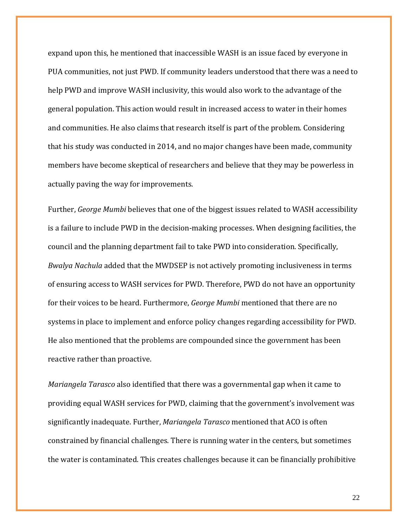expand upon this, he mentioned that inaccessible WASH is an issue faced by everyone in PUA communities, not just PWD. If community leaders understood that there was a need to help PWD and improve WASH inclusivity, this would also work to the advantage of the general population. This action would result in increased access to water in their homes and communities. He also claims that research itself is part of the problem. Considering that his study was conducted in 2014, and no major changes have been made, community members have become skeptical of researchers and believe that they may be powerless in actually paving the way for improvements.

Further, *George Mumbi* believes that one of the biggest issues related to WASH accessibility is a failure to include PWD in the decision-making processes. When designing facilities, the council and the planning department fail to take PWD into consideration. Specifically, *Bwalya Nachula* added that the MWDSEP is not actively promoting inclusiveness in terms of ensuring access to WASH services for PWD. Therefore, PWD do not have an opportunity for their voices to be heard. Furthermore, *George Mumbi* mentioned that there are no systems in place to implement and enforce policy changes regarding accessibility for PWD. He also mentioned that the problems are compounded since the government has been reactive rather than proactive.

*Mariangela Tarasco* also identified that there was a governmental gap when it came to providing equal WASH services for PWD, claiming that the government's involvement was significantly inadequate. Further, *Mariangela Tarasco* mentioned that ACO is often constrained by financial challenges. There is running water in the centers, but sometimes the water is contaminated. This creates challenges because it can be financially prohibitive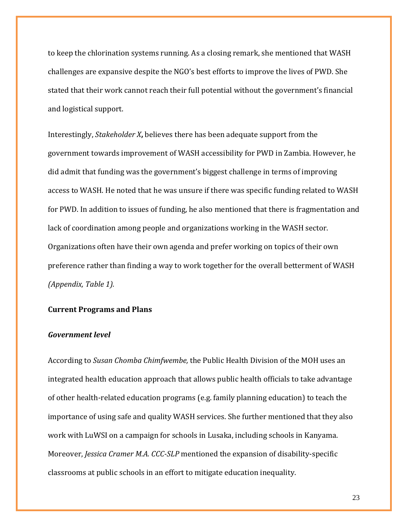to keep the chlorination systems running. As a closing remark, she mentioned that WASH challenges are expansive despite the NGO's best efforts to improve the lives of PWD. She stated that their work cannot reach their full potential without the government's financial and logistical support.

Interestingly, *Stakeholder X***,** believes there has been adequate support from the government towards improvement of WASH accessibility for PWD in Zambia. However, he did admit that funding was the government's biggest challenge in terms of improving access to WASH. He noted that he was unsure if there was specific funding related to WASH for PWD. In addition to issues of funding, he also mentioned that there is fragmentation and lack of coordination among people and organizations working in the WASH sector. Organizations often have their own agenda and prefer working on topics of their own preference rather than finding a way to work together for the overall betterment of WASH *(Appendix, Table 1).*

### **Current Programs and Plans**

# *Government level*

According to *Susan Chomba Chimfwembe,* the Public Health Division of the MOH uses an integrated health education approach that allows public health officials to take advantage of other health-related education programs (e.g. family planning education) to teach the importance of using safe and quality WASH services. She further mentioned that they also work with LuWSI on a campaign for schools in Lusaka, including schools in Kanyama. Moreover, *Jessica Cramer M.A. CCC-SLP* mentioned the expansion of disability-specific classrooms at public schools in an effort to mitigate education inequality.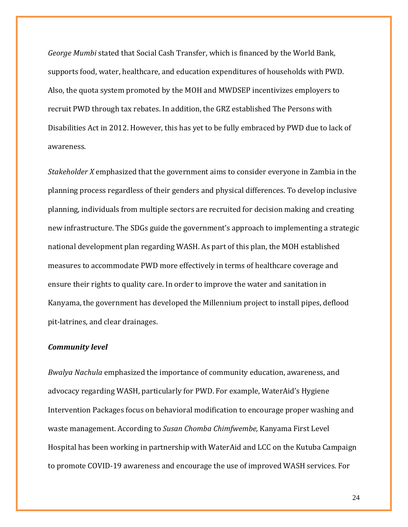*George Mumbi* stated that Social Cash Transfer, which is financed by the World Bank, supports food, water, healthcare, and education expenditures of households with PWD. Also, the quota system promoted by the MOH and MWDSEP incentivizes employers to recruit PWD through tax rebates. In addition, the GRZ established The Persons with Disabilities Act in 2012. However, this has yet to be fully embraced by PWD due to lack of awareness.

*Stakeholder X* emphasized that the government aims to consider everyone in Zambia in the planning process regardless of their genders and physical differences. To develop inclusive planning, individuals from multiple sectors are recruited for decision making and creating new infrastructure. The SDGs guide the government's approach to implementing a strategic national development plan regarding WASH. As part of this plan, the MOH established measures to accommodate PWD more effectively in terms of healthcare coverage and ensure their rights to quality care. In order to improve the water and sanitation in Kanyama, the government has developed the Millennium project to install pipes, deflood pit-latrines, and clear drainages.

#### *Community level*

*Bwalya Nachula* emphasized the importance of community education, awareness, and advocacy regarding WASH, particularly for PWD. For example, WaterAid's Hygiene Intervention Packages focus on behavioral modification to encourage proper washing and waste management. According to *Susan Chomba Chimfwembe,* Kanyama First Level Hospital has been working in partnership with WaterAid and LCC on the Kutuba Campaign to promote COVID-19 awareness and encourage the use of improved WASH services. For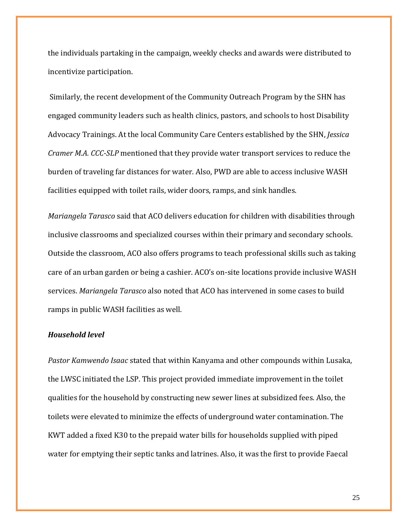the individuals partaking in the campaign, weekly checks and awards were distributed to incentivize participation.

Similarly, the recent development of the Community Outreach Program by the SHN has engaged community leaders such as health clinics, pastors, and schools to host Disability Advocacy Trainings. At the local Community Care Centers established by the SHN, *Jessica Cramer M.A. CCC-SLP* mentioned that they provide water transport services to reduce the burden of traveling far distances for water. Also, PWD are able to access inclusive WASH facilities equipped with toilet rails, wider doors, ramps, and sink handles.

*Mariangela Tarasco* said that ACO delivers education for children with disabilities through inclusive classrooms and specialized courses within their primary and secondary schools. Outside the classroom, ACO also offers programs to teach professional skills such as taking care of an urban garden or being a cashier. ACO's on-site locations provide inclusive WASH services. *Mariangela Tarasco* also noted that ACO has intervened in some cases to build ramps in public WASH facilities as well.

# *Household level*

*Pastor Kamwendo Isaac* stated that within Kanyama and other compounds within Lusaka, the LWSC initiated the LSP. This project provided immediate improvement in the toilet qualities for the household by constructing new sewer lines at subsidized fees. Also, the toilets were elevated to minimize the effects of underground water contamination. The KWT added a fixed K30 to the prepaid water bills for households supplied with piped water for emptying their septic tanks and latrines. Also, it was the first to provide Faecal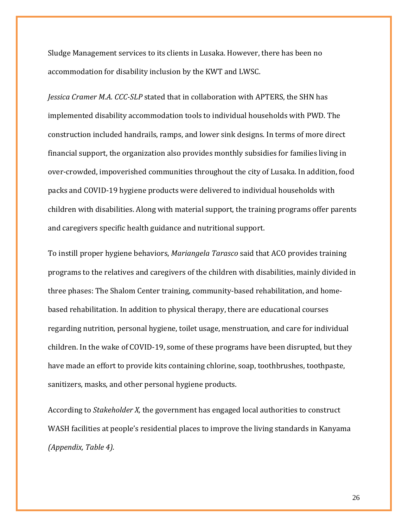Sludge Management services to its clients in Lusaka. However, there has been no accommodation for disability inclusion by the KWT and LWSC.

*Jessica Cramer M.A. CCC-SLP* stated that in collaboration with APTERS, the SHN has implemented disability accommodation tools to individual households with PWD. The construction included handrails, ramps, and lower sink designs. In terms of more direct financial support, the organization also provides monthly subsidies for families living in over-crowded, impoverished communities throughout the city of Lusaka. In addition, food packs and COVID-19 hygiene products were delivered to individual households with children with disabilities. Along with material support, the training programs offer parents and caregivers specific health guidance and nutritional support.

To instill proper hygiene behaviors, *Mariangela Tarasco* said that ACO provides training programs to the relatives and caregivers of the children with disabilities, mainly divided in three phases: The Shalom Center training, community-based rehabilitation, and homebased rehabilitation. In addition to physical therapy, there are educational courses regarding nutrition, personal hygiene, toilet usage, menstruation, and care for individual children. In the wake of COVID-19, some of these programs have been disrupted, but they have made an effort to provide kits containing chlorine, soap, toothbrushes, toothpaste, sanitizers, masks, and other personal hygiene products.

According to *Stakeholder X,* the government has engaged local authorities to construct WASH facilities at people's residential places to improve the living standards in Kanyama *(Appendix, Table 4).*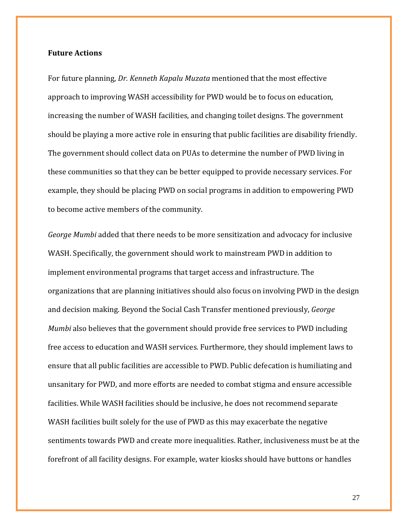### **Future Actions**

For future planning, *Dr. Kenneth Kapalu Muzata* mentioned that the most effective approach to improving WASH accessibility for PWD would be to focus on education, increasing the number of WASH facilities, and changing toilet designs. The government should be playing a more active role in ensuring that public facilities are disability friendly. The government should collect data on PUAs to determine the number of PWD living in these communities so that they can be better equipped to provide necessary services. For example, they should be placing PWD on social programs in addition to empowering PWD to become active members of the community.

*George Mumbi* added that there needs to be more sensitization and advocacy for inclusive WASH. Specifically, the government should work to mainstream PWD in addition to implement environmental programs that target access and infrastructure. The organizations that are planning initiatives should also focus on involving PWD in the design and decision making. Beyond the Social Cash Transfer mentioned previously, *George Mumbi* also believes that the government should provide free services to PWD including free access to education and WASH services. Furthermore, they should implement laws to ensure that all public facilities are accessible to PWD. Public defecation is humiliating and unsanitary for PWD, and more efforts are needed to combat stigma and ensure accessible facilities. While WASH facilities should be inclusive, he does not recommend separate WASH facilities built solely for the use of PWD as this may exacerbate the negative sentiments towards PWD and create more inequalities. Rather, inclusiveness must be at the forefront of all facility designs. For example, water kiosks should have buttons or handles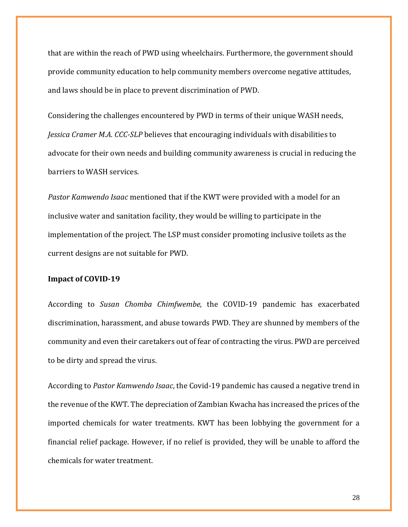that are within the reach of PWD using wheelchairs. Furthermore, the government should provide community education to help community members overcome negative attitudes, and laws should be in place to prevent discrimination of PWD.

Considering the challenges encountered by PWD in terms of their unique WASH needs, *Jessica Cramer M.A. CCC-SLP* believes that encouraging individuals with disabilities to advocate for their own needs and building community awareness is crucial in reducing the barriers to WASH services.

*Pastor Kamwendo Isaac* mentioned that if the KWT were provided with a model for an inclusive water and sanitation facility, they would be willing to participate in the implementation of the project. The LSP must consider promoting inclusive toilets as the current designs are not suitable for PWD.

### **Impact of COVID-19**

According to *Susan Chomba Chimfwembe,* the COVID-19 pandemic has exacerbated discrimination, harassment, and abuse towards PWD. They are shunned by members of the community and even their caretakers out of fear of contracting the virus. PWD are perceived to be dirty and spread the virus.

According to *Pastor Kamwendo Isaac*, the Covid-19 pandemic has caused a negative trend in the revenue of the KWT. The depreciation of Zambian Kwacha has increased the prices of the imported chemicals for water treatments. KWT has been lobbying the government for a financial relief package. However, if no relief is provided, they will be unable to afford the chemicals for water treatment.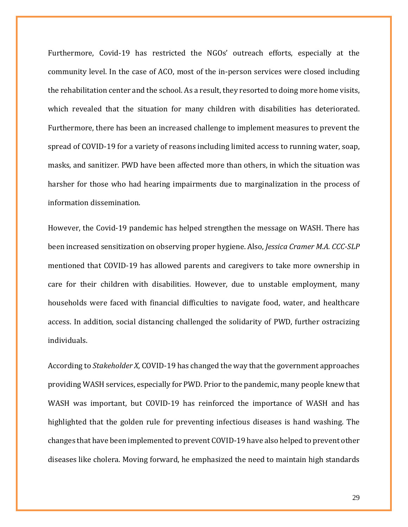Furthermore, Covid-19 has restricted the NGOs' outreach efforts, especially at the community level. In the case of ACO, most of the in-person services were closed including the rehabilitation center and the school. As a result, they resorted to doing more home visits, which revealed that the situation for many children with disabilities has deteriorated. Furthermore, there has been an increased challenge to implement measures to prevent the spread of COVID-19 for a variety of reasons including limited access to running water, soap, masks, and sanitizer. PWD have been affected more than others, in which the situation was harsher for those who had hearing impairments due to marginalization in the process of information dissemination.

However, the Covid-19 pandemic has helped strengthen the message on WASH. There has been increased sensitization on observing proper hygiene. Also, *Jessica Cramer M.A. CCC-SLP*  mentioned that COVID-19 has allowed parents and caregivers to take more ownership in care for their children with disabilities. However, due to unstable employment, many households were faced with financial difficulties to navigate food, water, and healthcare access. In addition, social distancing challenged the solidarity of PWD, further ostracizing individuals.

According to *Stakeholder X*, COVID-19 has changed the way that the government approaches providing WASH services, especially for PWD. Prior to the pandemic, many people knew that WASH was important, but COVID-19 has reinforced the importance of WASH and has highlighted that the golden rule for preventing infectious diseases is hand washing. The changes that have been implemented to prevent COVID-19 have also helped to prevent other diseases like cholera. Moving forward, he emphasized the need to maintain high standards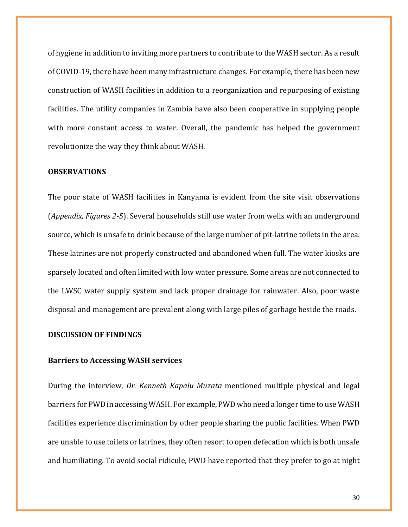of hygiene in addition to inviting more partners to contribute to the WASH sector. As a result of COVID-19, there have been many infrastructure changes. For example, there has been new construction of WASH facilities in addition to a reorganization and repurposing of existing facilities. The utility companies in Zambia have also been cooperative in supplying people with more constant access to water. Overall, the pandemic has helped the government revolutionize the way they think about WASH.

### **OBSERVATIONS**

The poor state of WASH facilities in Kanyama is evident from the site visit observations (*Appendix, Figures 2-5*). Several households still use water from wells with an underground source, which is unsafe to drink because of the large number of pit-latrine toilets in the area. These latrines are not properly constructed and abandoned when full. The water kiosks are sparsely located and often limited with low water pressure. Some areas are not connected to the LWSC water supply system and lack proper drainage for rainwater. Also, poor waste disposal and management are prevalent along with large piles of garbage beside the roads.

# **DISCUSSION OF FINDINGS**

#### **Barriers to Accessing WASH services**

During the interview, *Dr. Kenneth Kapalu Muzata* mentioned multiple physical and legal barriers for PWD in accessing WASH. For example, PWD who need a longer time to use WASH facilities experience discrimination by other people sharing the public facilities. When PWD are unable to use toilets or latrines, they often resort to open defecation which is both unsafe and humiliating. To avoid social ridicule, PWD have reported that they prefer to go at night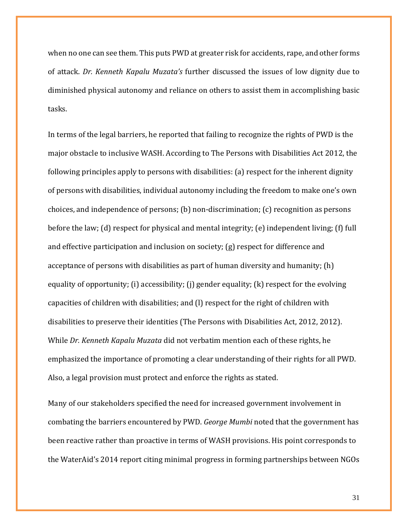when no one can see them. This puts PWD at greater risk for accidents, rape, and other forms of attack. *Dr. Kenneth Kapalu Muzata's* further discussed the issues of low dignity due to diminished physical autonomy and reliance on others to assist them in accomplishing basic tasks.

In terms of the legal barriers, he reported that failing to recognize the rights of PWD is the major obstacle to inclusive WASH. According to The Persons with Disabilities Act 2012, the following principles apply to persons with disabilities: (a) respect for the inherent dignity of persons with disabilities, individual autonomy including the freedom to make one's own choices, and independence of persons; (b) non-discrimination; (c) recognition as persons before the law; (d) respect for physical and mental integrity; (e) independent living; (f) full and effective participation and inclusion on society; (g) respect for difference and acceptance of persons with disabilities as part of human diversity and humanity; (h) equality of opportunity; (i) accessibility; (i) gender equality; (k) respect for the evolving capacities of children with disabilities; and (l) respect for the right of children with disabilities to preserve their identities [\(The Persons with Disabilities](https://www.zotero.org/google-docs/?N8vFqi) Act, 2012, 2012). While *Dr. Kenneth Kapalu Muzata* did not verbatim mention each of these rights, he emphasized the importance of promoting a clear understanding of their rights for all PWD. Also, a legal provision must protect and enforce the rights as stated.

Many of our stakeholders specified the need for increased government involvement in combating the barriers encountered by PWD. *George Mumbi* noted that the government has been reactive rather than proactive in terms of WASH provisions. His point corresponds to the WaterAid's 2014 report citing minimal progress in forming partnerships between NGOs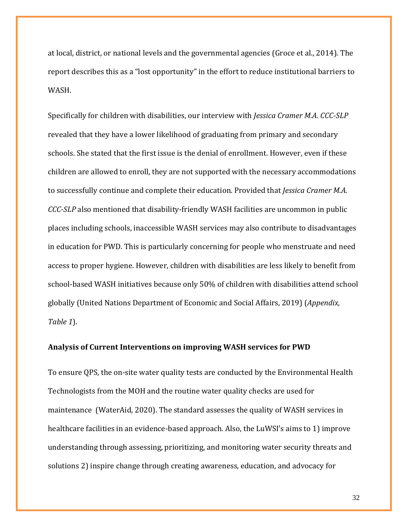at local, district, or national levels and the governmental agencies [\(Groce et al., 2014\).](https://www.zotero.org/google-docs/?51iO47) The report describes this as a "lost opportunity" in the effort to reduce institutional barriers to WASH.

Specifically for children with disabilities, our interview with *Jessica Cramer M.A. CCC-SLP* revealed that they have a lower likelihood of graduating from primary and secondary schools. She stated that the first issue is the denial of enrollment. However, even if these children are allowed to enroll, they are not supported with the necessary accommodations to successfully continue and complete their education. Provided that *Jessica Cramer M.A. CCC-SLP* also mentioned that disability-friendly WASH facilities are uncommon in public places including schools, inaccessible WASH services may also contribute to disadvantages in education for PWD. This is particularly concerning for people who menstruate and need access to proper hygiene. However, children with disabilities are less likely to benefit from school-based WASH initiatives because only 50% of children with disabilities attend school globally [\(United Nations Department of Economic and Social Affairs, 2019\)](https://www.zotero.org/google-docs/?HGKE8G) (*Appendix, Table 1*).

### **Analysis of Current Interventions on improving WASH services for PWD**

To ensure QPS, the on-site water quality tests are conducted by the Environmental Health Technologists from the MOH and the routine water quality checks are used for maintenance [\(WaterAid, 2020\).](https://www.zotero.org/google-docs/?IxC8Ax) The standard assesses the quality of WASH services in healthcare facilities in an evidence-based approach. Also, the LuWSI's aims to 1) improve understanding through assessing, prioritizing, and monitoring water security threats and solutions 2) inspire change through creating awareness, education, and advocacy for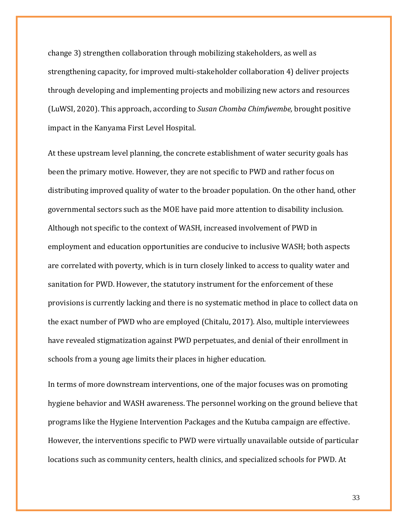change 3) strengthen collaboration through mobilizing stakeholders, as well as strengthening capacity, for improved multi-stakeholder collaboration 4) deliver projects through developing and implementing projects and mobilizing new actors and resources [\(LuWSI, 2020\).](https://www.zotero.org/google-docs/?s782hd) This approach, according to *Susan Chomba Chimfwembe,* brought positive impact in the Kanyama First Level Hospital.

At these upstream level planning, the concrete establishment of water security goals has been the primary motive. However, they are not specific to PWD and rather focus on distributing improved quality of water to the broader population. On the other hand, other governmental sectors such as the MOE have paid more attention to disability inclusion. Although not specific to the context of WASH, increased involvement of PWD in employment and education opportunities are conducive to inclusive WASH; both aspects are correlated with poverty, which is in turn closely linked to access to quality water and sanitation for PWD. However, the statutory instrument for the enforcement of these provisions is currently lacking and there is no systematic method in place to collect data on the exact number of PWD who are employe[d \(Chitalu, 2017\).](https://www.zotero.org/google-docs/?l0t0gu) Also, multiple interviewees have revealed stigmatization against PWD perpetuates, and denial of their enrollment in schools from a young age limits their places in higher education.

In terms of more downstream interventions, one of the major focuses was on promoting hygiene behavior and WASH awareness. The personnel working on the ground believe that programs like the Hygiene Intervention Packages and the Kutuba campaign are effective. However, the interventions specific to PWD were virtually unavailable outside of particular locations such as community centers, health clinics, and specialized schools for PWD. At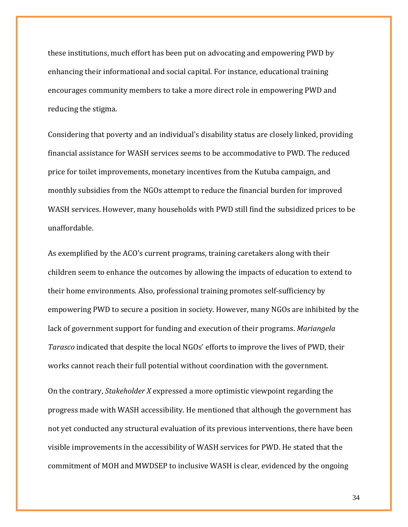these institutions, much effort has been put on advocating and empowering PWD by enhancing their informational and social capital. For instance, educational training encourages community members to take a more direct role in empowering PWD and reducing the stigma.

Considering that poverty and an individual's disability status are closely linked, providing financial assistance for WASH services seems to be accommodative to PWD. The reduced price for toilet improvements, monetary incentives from the Kutuba campaign, and monthly subsidies from the NGOs attempt to reduce the financial burden for improved WASH services. However, many households with PWD still find the subsidized prices to be unaffordable.

As exemplified by the ACO's current programs, training caretakers along with their children seem to enhance the outcomes by allowing the impacts of education to extend to their home environments. Also, professional training promotes self-sufficiency by empowering PWD to secure a position in society. However, many NGOs are inhibited by the lack of government support for funding and execution of their programs. *Mariangela Tarasco* indicated that despite the local NGOs' efforts to improve the lives of PWD, their works cannot reach their full potential without coordination with the government.

On the contrary, *Stakeholder X* expressed a more optimistic viewpoint regarding the progress made with WASH accessibility. He mentioned that although the government has not yet conducted any structural evaluation of its previous interventions, there have been visible improvements in the accessibility of WASH services for PWD. He stated that the commitment of MOH and MWDSEP to inclusive WASH is clear, evidenced by the ongoing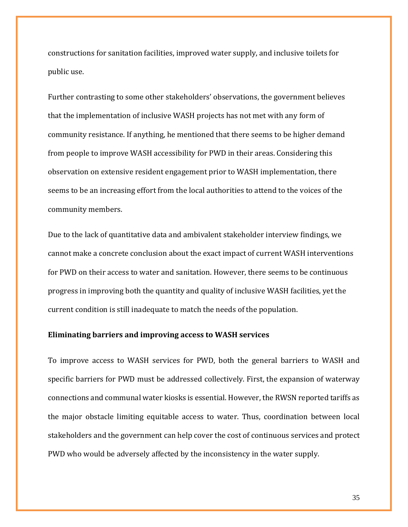constructions for sanitation facilities, improved water supply, and inclusive toilets for public use.

Further contrasting to some other stakeholders' observations, the government believes that the implementation of inclusive WASH projects has not met with any form of community resistance. If anything, he mentioned that there seems to be higher demand from people to improve WASH accessibility for PWD in their areas. Considering this observation on extensive resident engagement prior to WASH implementation, there seems to be an increasing effort from the local authorities to attend to the voices of the community members.

Due to the lack of quantitative data and ambivalent stakeholder interview findings, we cannot make a concrete conclusion about the exact impact of current WASH interventions for PWD on their access to water and sanitation. However, there seems to be continuous progress in improving both the quantity and quality of inclusive WASH facilities, yet the current condition is still inadequate to match the needs of the population.

# **Eliminating barriers and improving access to WASH services**

To improve access to WASH services for PWD, both the general barriers to WASH and specific barriers for PWD must be addressed collectively. First, the expansion of waterway connections and communal water kiosks is essential. However, the RWSN reported tariffs as the major obstacle limiting equitable access to water. Thus, coordination between local stakeholders and the government can help cover the cost of continuous services and protect PWD who would be adversely affected by the inconsistency in the water supply.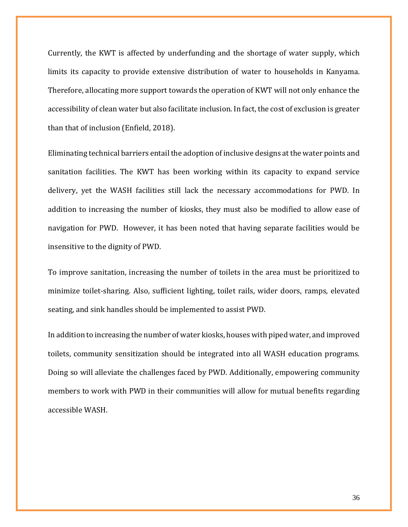Currently, the KWT is affected by underfunding and the shortage of water supply, which limits its capacity to provide extensive distribution of water to households in Kanyama. Therefore, allocating more support towards the operation of KWT will not only enhance the accessibility of clean water but also facilitate inclusion. In fact, the cost of exclusion is greater than that of inclusion [\(Enfield, 2018\).](https://www.zotero.org/google-docs/?OwR8b7)

Eliminating technical barriers entail the adoption of inclusive designs at the water points and sanitation facilities. The KWT has been working within its capacity to expand service delivery, yet the WASH facilities still lack the necessary accommodations for PWD. In addition to increasing the number of kiosks, they must also be modified to allow ease of navigation for PWD. However, it has been noted that having separate facilities would be insensitive to the dignity of PWD.

To improve sanitation, increasing the number of toilets in the area must be prioritized to minimize toilet-sharing. Also, sufficient lighting, toilet rails, wider doors, ramps, elevated seating, and sink handles should be implemented to assist PWD.

In addition to increasing the number of water kiosks, houses with piped water, and improved toilets, community sensitization should be integrated into all WASH education programs. Doing so will alleviate the challenges faced by PWD. Additionally, empowering community members to work with PWD in their communities will allow for mutual benefits regarding accessible WASH.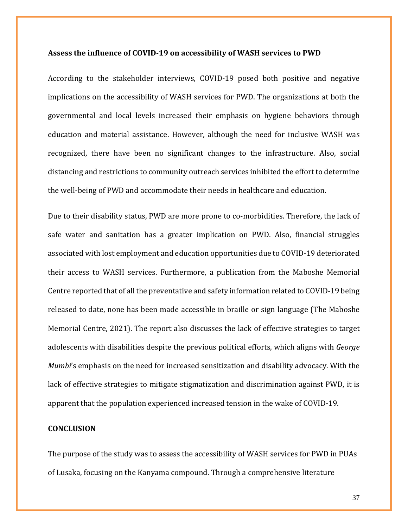#### **Assess the influence of COVID-19 on accessibility of WASH services to PWD**

According to the stakeholder interviews, COVID-19 posed both positive and negative implications on the accessibility of WASH services for PWD. The organizations at both the governmental and local levels increased their emphasis on hygiene behaviors through education and material assistance. However, although the need for inclusive WASH was recognized, there have been no significant changes to the infrastructure. Also, social distancing and restrictions to community outreach services inhibited the effort to determine the well-being of PWD and accommodate their needs in healthcare and education.

Due to their disability status, PWD are more prone to co-morbidities. Therefore, the lack of safe water and sanitation has a greater implication on PWD. Also, financial struggles associated with lost employment and education opportunities due to COVID-19 deteriorated their access to WASH services. Furthermore, a publication from the Maboshe Memorial Centre reported that of all the preventative and safety information related to COVID-19 being released to date, none has been made accessible in braille or sign language [\(The Maboshe](https://www.zotero.org/google-docs/?nMnP1O)  [Memorial Centre, 2021\).](https://www.zotero.org/google-docs/?nMnP1O) The report also discusses the lack of effective strategies to target adolescents with disabilities despite the previous political efforts, which aligns with *George Mumbi*'s emphasis on the need for increased sensitization and disability advocacy. With the lack of effective strategies to mitigate stigmatization and discrimination against PWD, it is apparent that the population experienced increased tension in the wake of COVID-19.

# **CONCLUSION**

The purpose of the study was to assess the accessibility of WASH services for PWD in PUAs of Lusaka, focusing on the Kanyama compound. Through a comprehensive literature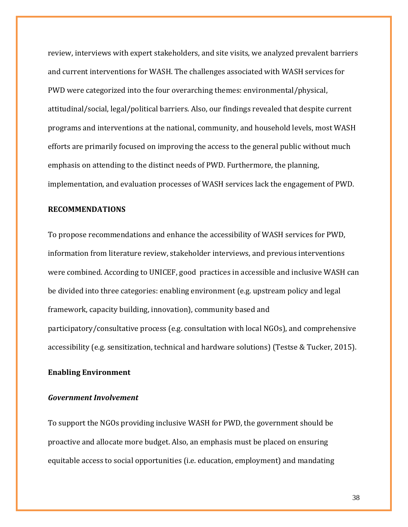review, interviews with expert stakeholders, and site visits, we analyzed prevalent barriers and current interventions for WASH. The challenges associated with WASH services for PWD were categorized into the four overarching themes: environmental/physical, attitudinal/social, legal/political barriers. Also, our findings revealed that despite current programs and interventions at the national, community, and household levels, most WASH efforts are primarily focused on improving the access to the general public without much emphasis on attending to the distinct needs of PWD. Furthermore, the planning, implementation, and evaluation processes of WASH services lack the engagement of PWD.

### **RECOMMENDATIONS**

To propose recommendations and enhance the accessibility of WASH services for PWD, information from literature review, stakeholder interviews, and previous interventions were combined. According to UNICEF, good practices in accessible and inclusive WASH can be divided into three categories: enabling environment (e.g. upstream policy and legal framework, capacity building, innovation), community based and participatory/consultative process (e.g. consultation with local NGOs), and comprehensive accessibility (e.g. sensitization, technical and hardware solutions) [\(Testse & Tucker, 2015\).](https://www.zotero.org/google-docs/?ZZb040)

### **Enabling Environment**

### *Government Involvement*

To support the NGOs providing inclusive WASH for PWD, the government should be proactive and allocate more budget. Also, an emphasis must be placed on ensuring equitable access to social opportunities (i.e. education, employment) and mandating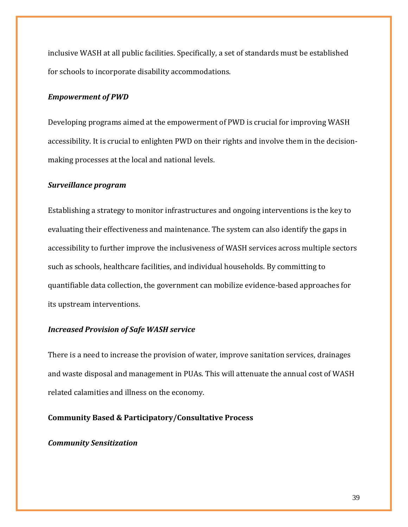inclusive WASH at all public facilities. Specifically, a set of standards must be established for schools to incorporate disability accommodations.

### *Empowerment of PWD*

Developing programs aimed at the empowerment of PWD is crucial for improving WASH accessibility. It is crucial to enlighten PWD on their rights and involve them in the decisionmaking processes at the local and national levels.

### *Surveillance program*

Establishing a strategy to monitor infrastructures and ongoing interventions is the key to evaluating their effectiveness and maintenance. The system can also identify the gaps in accessibility to further improve the inclusiveness of WASH services across multiple sectors such as schools, healthcare facilities, and individual households. By committing to quantifiable data collection, the government can mobilize evidence-based approaches for its upstream interventions.

### *Increased Provision of Safe WASH service*

There is a need to increase the provision of water, improve sanitation services, drainages and waste disposal and management in PUAs. This will attenuate the annual cost of WASH related calamities and illness on the economy.

# **Community Based & Participatory/Consultative Process**

# *Community Sensitization*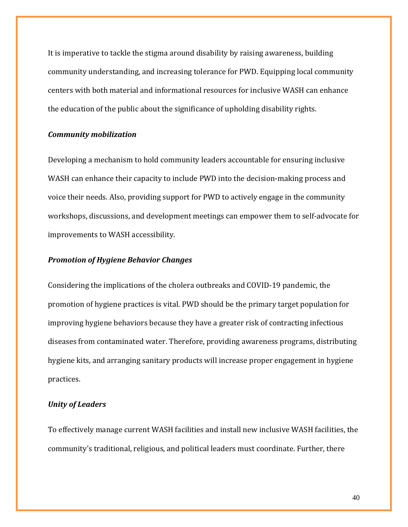It is imperative to tackle the stigma around disability by raising awareness, building community understanding, and increasing tolerance for PWD. Equipping local community centers with both material and informational resources for inclusive WASH can enhance the education of the public about the significance of upholding disability rights.

## *Community mobilization*

Developing a mechanism to hold community leaders accountable for ensuring inclusive WASH can enhance their capacity to include PWD into the decision-making process and voice their needs. Also, providing support for PWD to actively engage in the community workshops, discussions, and development meetings can empower them to self-advocate for improvements to WASH accessibility.

# *Promotion of Hygiene Behavior Changes*

Considering the implications of the cholera outbreaks and COVID-19 pandemic, the promotion of hygiene practices is vital. PWD should be the primary target population for improving hygiene behaviors because they have a greater risk of contracting infectious diseases from contaminated water. Therefore, providing awareness programs, distributing hygiene kits, and arranging sanitary products will increase proper engagement in hygiene practices.

# *Unity of Leaders*

To effectively manage current WASH facilities and install new inclusive WASH facilities, the community's traditional, religious, and political leaders must coordinate. Further, there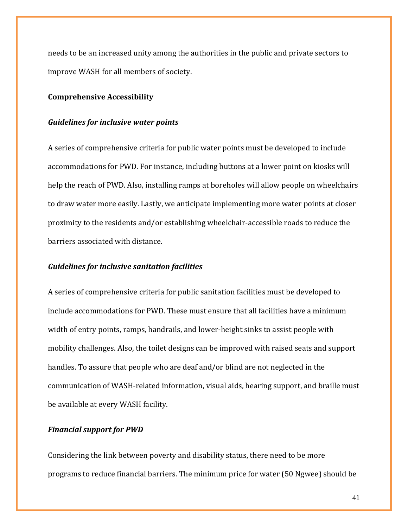needs to be an increased unity among the authorities in the public and private sectors to improve WASH for all members of society.

#### **Comprehensive Accessibility**

#### *Guidelines for inclusive water points*

A series of comprehensive criteria for public water points must be developed to include accommodations for PWD. For instance, including buttons at a lower point on kiosks will help the reach of PWD. Also, installing ramps at boreholes will allow people on wheelchairs to draw water more easily. Lastly, we anticipate implementing more water points at closer proximity to the residents and/or establishing wheelchair-accessible roads to reduce the barriers associated with distance.

#### *Guidelines for inclusive sanitation facilities*

A series of comprehensive criteria for public sanitation facilities must be developed to include accommodations for PWD. These must ensure that all facilities have a minimum width of entry points, ramps, handrails, and lower-height sinks to assist people with mobility challenges. Also, the toilet designs can be improved with raised seats and support handles. To assure that people who are deaf and/or blind are not neglected in the communication of WASH-related information, visual aids, hearing support, and braille must be available at every WASH facility.

# *Financial support for PWD*

Considering the link between poverty and disability status, there need to be more programs to reduce financial barriers. The minimum price for water (50 Ngwee) should be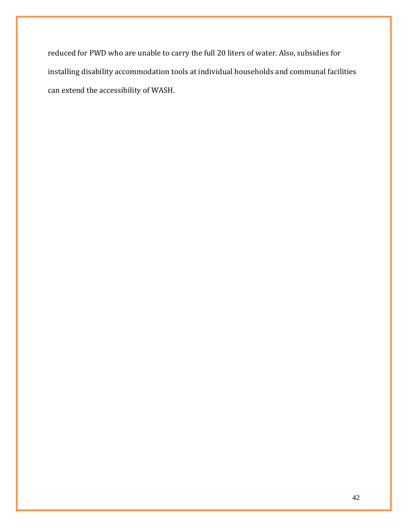reduced for PWD who are unable to carry the full 20 liters of water. Also, subsidies for installing disability accommodation tools at individual households and communal facilities can extend the accessibility of WASH.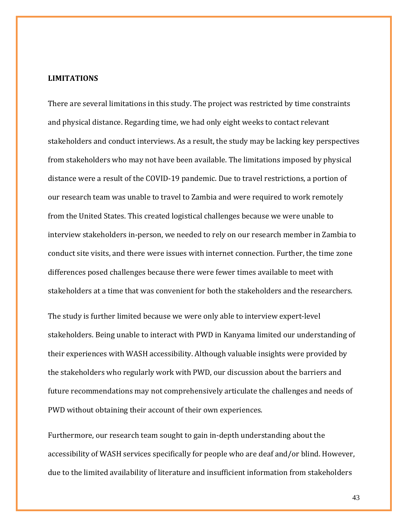# **LIMITATIONS**

There are several limitations in this study. The project was restricted by time constraints and physical distance. Regarding time, we had only eight weeks to contact relevant stakeholders and conduct interviews. As a result, the study may be lacking key perspectives from stakeholders who may not have been available. The limitations imposed by physical distance were a result of the COVID-19 pandemic. Due to travel restrictions, a portion of our research team was unable to travel to Zambia and were required to work remotely from the United States. This created logistical challenges because we were unable to interview stakeholders in-person, we needed to rely on our research member in Zambia to conduct site visits, and there were issues with internet connection. Further, the time zone differences posed challenges because there were fewer times available to meet with stakeholders at a time that was convenient for both the stakeholders and the researchers.

The study is further limited because we were only able to interview expert-level stakeholders. Being unable to interact with PWD in Kanyama limited our understanding of their experiences with WASH accessibility. Although valuable insights were provided by the stakeholders who regularly work with PWD, our discussion about the barriers and future recommendations may not comprehensively articulate the challenges and needs of PWD without obtaining their account of their own experiences.

Furthermore, our research team sought to gain in-depth understanding about the accessibility of WASH services specifically for people who are deaf and/or blind. However, due to the limited availability of literature and insufficient information from stakeholders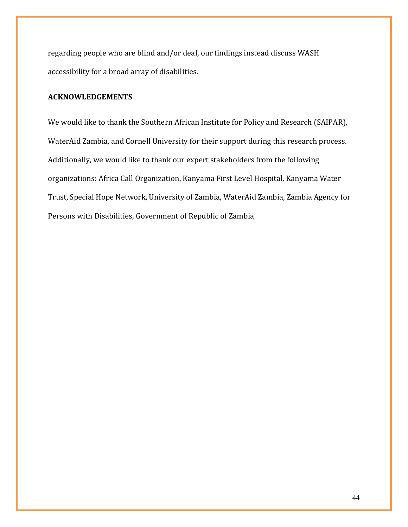regarding people who are blind and/or deaf, our findings instead discuss WASH accessibility for a broad array of disabilities.

# **ACKNOWLEDGEMENTS**

We would like to thank the Southern African Institute for Policy and Research (SAIPAR), WaterAid Zambia, and Cornell University for their support during this research process. Additionally, we would like to thank our expert stakeholders from the following organizations: Africa Call Organization, Kanyama First Level Hospital, Kanyama Water Trust, Special Hope Network, University of Zambia, WaterAid Zambia, Zambia Agency for Persons with Disabilities, Government of Republic of Zambia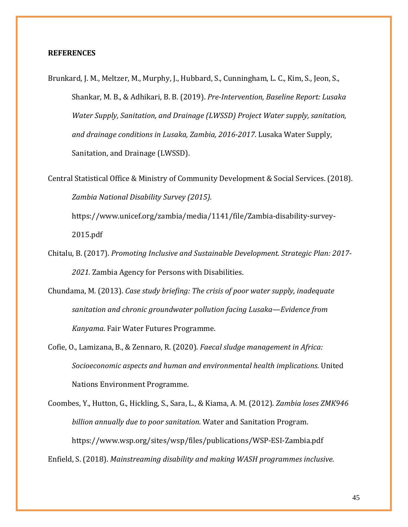#### **REFERENCES**

[Brunkard, J. M., Meltzer, M., Murphy, J., Hubbard, S., Cunningham, L. C., Kim, S., Jeon, S.,](https://www.zotero.org/google-docs/?0xjehV)  [Shankar, M. B., & Adhikari, B. B. \(2019\).](https://www.zotero.org/google-docs/?0xjehV) *[Pre-Intervention, Baseline Report: Lusaka](https://www.zotero.org/google-docs/?0xjehV)  [Water Supply, Sanitation, and Drainage \(LWSSD\) Project Water supply, sanitation,](https://www.zotero.org/google-docs/?0xjehV)  [and drainage conditions in Lusaka, Zambia, 2016-2017](https://www.zotero.org/google-docs/?0xjehV)*[. Lusaka Water Supply,](https://www.zotero.org/google-docs/?0xjehV)  [Sanitation, and Drainage \(LWSSD\).](https://www.zotero.org/google-docs/?0xjehV)

[Central Statistical Office & Ministry of Community Development & Social Services. \(2018\).](https://www.zotero.org/google-docs/?0xjehV)  *[Zambia National Disability Survey \(2015\)](https://www.zotero.org/google-docs/?0xjehV)*[.](https://www.zotero.org/google-docs/?0xjehV) 

[https://www.unicef.org/zambia/media/1141/file/Zambia-disability-survey-](https://www.zotero.org/google-docs/?0xjehV)[2015.pdf](https://www.zotero.org/google-docs/?0xjehV)

- [Chitalu, B. \(2017\).](https://www.zotero.org/google-docs/?0xjehV) *[Promoting Inclusive and Sustainable Development. Strategic Plan: 2017-](https://www.zotero.org/google-docs/?0xjehV) [2021.](https://www.zotero.org/google-docs/?0xjehV)* [Zambia Agency for Persons with Disabilities.](https://www.zotero.org/google-docs/?0xjehV)
- [Chundama, M. \(2013\).](https://www.zotero.org/google-docs/?0xjehV) *[Case study briefing: The crisis of poor water supply, inadequate](https://www.zotero.org/google-docs/?0xjehV)  [sanitation and chronic groundwater pollution facing Lusaka—Evidence from](https://www.zotero.org/google-docs/?0xjehV)  [Kanyama](https://www.zotero.org/google-docs/?0xjehV)*[. Fair Water Futures Programme.](https://www.zotero.org/google-docs/?0xjehV)
- [Cofie, O., Lamizana, B., & Zennaro, R. \(2020\).](https://www.zotero.org/google-docs/?0xjehV) *[Faecal sludge management in Africa:](https://www.zotero.org/google-docs/?0xjehV)  [Socioeconomic aspects and human and environmental health implications](https://www.zotero.org/google-docs/?0xjehV)*[. United](https://www.zotero.org/google-docs/?0xjehV)  [Nations Environment Programme.](https://www.zotero.org/google-docs/?0xjehV)

[Coombes, Y., Hutton, G., Hickling, S., Sara, L., & Kiama, A. M. \(2012\).](https://www.zotero.org/google-docs/?0xjehV) *[Zambia loses ZMK946](https://www.zotero.org/google-docs/?0xjehV)  [billion annually due to poor sanitation](https://www.zotero.org/google-docs/?0xjehV)*[. Water and Sanitation Program.](https://www.zotero.org/google-docs/?0xjehV)  [https://www.wsp.org/sites/wsp/files/publications/WSP-ESI-Zambia.pdf](https://www.zotero.org/google-docs/?0xjehV)

[Enfield, S. \(2018\).](https://www.zotero.org/google-docs/?0xjehV) *[Mainstreaming disability and making WASH programmes inclusive](https://www.zotero.org/google-docs/?0xjehV)*[.](https://www.zotero.org/google-docs/?0xjehV)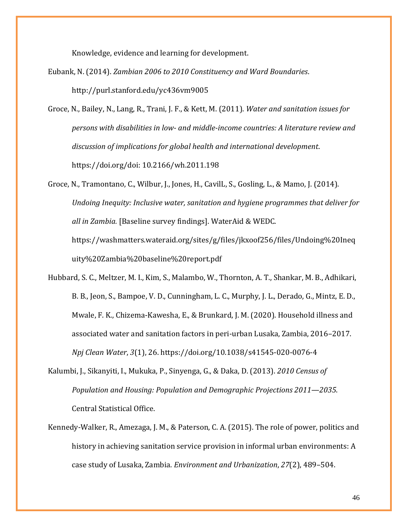[Knowledge, evidence and learning for development.](https://www.zotero.org/google-docs/?0xjehV)

- [Eubank, N. \(2014\).](https://www.zotero.org/google-docs/?0xjehV) *[Zambian 2006 to 2010 Constituency and Ward Boundaries](https://www.zotero.org/google-docs/?0xjehV)*[.](https://www.zotero.org/google-docs/?0xjehV)  [http://purl.stanford.edu/yc436vm9005](https://www.zotero.org/google-docs/?0xjehV)
- [Groce, N., Bailey, N., Lang, R., Trani, J. F., & Kett, M. \(2011\).](https://www.zotero.org/google-docs/?0xjehV) *[Water and sanitation issues for](https://www.zotero.org/google-docs/?0xjehV)  persons with disabilities in low- [and middle-income countries: A literature review and](https://www.zotero.org/google-docs/?0xjehV)  [discussion of implications for global health and international development](https://www.zotero.org/google-docs/?0xjehV)*[.](https://www.zotero.org/google-docs/?0xjehV)  [https://doi.org/doi: 10.2166/wh.2011.198](https://www.zotero.org/google-docs/?0xjehV)

[Groce, N., Tramontano, C., Wilbur, J., Jones, H., CavilL, S., Gosling, L., & Mamo, J. \(2014\).](https://www.zotero.org/google-docs/?0xjehV)  *[Undoing Inequity: Inclusive water, sanitation and hygiene programmes that deliver for](https://www.zotero.org/google-docs/?0xjehV)  [all in Zambia.](https://www.zotero.org/google-docs/?0xjehV)* [\[Baseline survey findings\]. WaterAid & WEDC.](https://www.zotero.org/google-docs/?0xjehV)  [https://washmatters.wateraid.org/sites/g/files/jkxoof256/files/Undoing%20Ineq](https://www.zotero.org/google-docs/?0xjehV) [uity%20Zambia%20baseline%20report.pdf](https://www.zotero.org/google-docs/?0xjehV)

[Hubbard, S. C., Meltzer, M. I., Kim, S., Malambo, W., Thornton, A. T., Shankar, M. B., Adhikari,](https://www.zotero.org/google-docs/?0xjehV)  [B. B., Jeon, S., Bampoe, V. D., Cunningham, L. C., Murphy, J. L., Derado, G., Mintz, E. D.,](https://www.zotero.org/google-docs/?0xjehV)  [Mwale, F. K., Chizema-Kawesha, E., & Brunkard, J. M. \(2020\). Household illness and](https://www.zotero.org/google-docs/?0xjehV)  [associated water and sanitation factors in peri-urban Lusaka, Zambia, 2016–2017.](https://www.zotero.org/google-docs/?0xjehV)  *[Npj Clean Water](https://www.zotero.org/google-docs/?0xjehV)*[,](https://www.zotero.org/google-docs/?0xjehV) *[3](https://www.zotero.org/google-docs/?0xjehV)*[\(1\), 26. https://doi.org/10.1038/s41545-020-0076-4](https://www.zotero.org/google-docs/?0xjehV)

- [Kalumbi, J., Sikanyiti, I., Mukuka, P., Sinyenga, G., & Daka, D. \(2013\).](https://www.zotero.org/google-docs/?0xjehV) *[2010 Census of](https://www.zotero.org/google-docs/?0xjehV)  [Population and Housing: Population and Demographic Projections 2011—2035](https://www.zotero.org/google-docs/?0xjehV)*[.](https://www.zotero.org/google-docs/?0xjehV)  [Central Statistical Office.](https://www.zotero.org/google-docs/?0xjehV)
- [Kennedy-Walker, R., Amezaga, J. M., & Paterson, C. A. \(2015\). The role of power, politics and](https://www.zotero.org/google-docs/?0xjehV)  [history in achieving sanitation service provision in informal urban environments: A](https://www.zotero.org/google-docs/?0xjehV)  [case study of Lusaka, Zambia.](https://www.zotero.org/google-docs/?0xjehV) *[Environment and Urbanization](https://www.zotero.org/google-docs/?0xjehV)*[,](https://www.zotero.org/google-docs/?0xjehV) *[27](https://www.zotero.org/google-docs/?0xjehV)*[\(2\), 489–504.](https://www.zotero.org/google-docs/?0xjehV)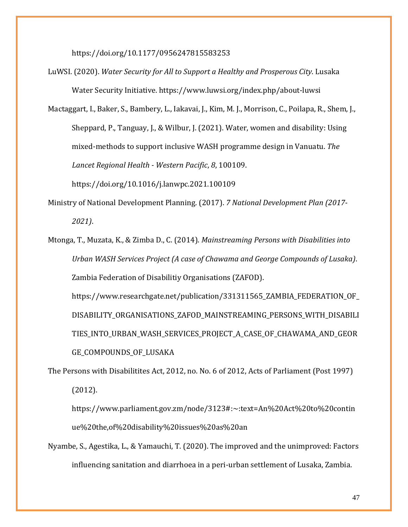[https://doi.org/10.1177/0956247815583253](https://www.zotero.org/google-docs/?0xjehV)

[LuWSI. \(2020\).](https://www.zotero.org/google-docs/?0xjehV) *[Water Security for All to Support a Healthy and Prosperous City](https://www.zotero.org/google-docs/?0xjehV)*[. Lusaka](https://www.zotero.org/google-docs/?0xjehV)  [Water Security Initiative. https://www.luwsi.org/index.php/about-luwsi](https://www.zotero.org/google-docs/?0xjehV)

[Mactaggart, I., Baker, S., Bambery, L., Iakavai, J., Kim, M. J., Morrison, C., Poilapa, R., Shem, J.,](https://www.zotero.org/google-docs/?0xjehV)  [Sheppard, P., Tanguay, J., & Wilbur, J. \(2021\). Water, women and disability: Using](https://www.zotero.org/google-docs/?0xjehV)  [mixed-methods to support inclusive WASH programme design in Vanuatu.](https://www.zotero.org/google-docs/?0xjehV) *[The](https://www.zotero.org/google-docs/?0xjehV)  [Lancet Regional Health -](https://www.zotero.org/google-docs/?0xjehV) Western Pacific*[,](https://www.zotero.org/google-docs/?0xjehV) *[8](https://www.zotero.org/google-docs/?0xjehV)*[, 100109.](https://www.zotero.org/google-docs/?0xjehV) 

[https://doi.org/10.1016/j.lanwpc.2021.100109](https://www.zotero.org/google-docs/?0xjehV)

- [Ministry of National Development Planning.](https://www.zotero.org/google-docs/?0xjehV) (2017). *[7 National Development Plan \(2017-](https://www.zotero.org/google-docs/?0xjehV) [2021\)](https://www.zotero.org/google-docs/?0xjehV)*[.](https://www.zotero.org/google-docs/?0xjehV)
- [Mtonga, T., Muzata, K., & Zimba D., C. \(2014\).](https://www.zotero.org/google-docs/?0xjehV) *[Mainstreaming Persons with Disabilities into](https://www.zotero.org/google-docs/?0xjehV)  [Urban WASH Services Project \(A case of Chawama and George Compounds of Lusaka\)](https://www.zotero.org/google-docs/?0xjehV)*[.](https://www.zotero.org/google-docs/?0xjehV)  [Zambia Federation of Disabilitiy Organisations \(ZAFOD\).](https://www.zotero.org/google-docs/?0xjehV)  [https://www.researchgate.net/publication/331311565\\_ZAMBIA\\_FEDERATION\\_OF\\_](https://www.zotero.org/google-docs/?0xjehV) [DISABILITY\\_ORGANISATIONS\\_ZAFOD\\_MAINSTREAMING\\_PERSONS\\_WITH\\_DISABILI](https://www.zotero.org/google-docs/?0xjehV) TIES INTO URBAN WASH SERVICES PROJECT A CASE OF CHAWAMA AND GEOR [GE\\_COMPOUNDS\\_OF\\_LUSAKA](https://www.zotero.org/google-docs/?0xjehV)

[The Persons with Disabilitites Act, 2012, no. No. 6 of 2012, Acts of Parliament \(Post 1997\)](https://www.zotero.org/google-docs/?0xjehV)  [\(2012\).](https://www.zotero.org/google-docs/?0xjehV) 

[https://www.parliament.gov.zm/node/3123#:~:text=An%20Act%20to%20contin](https://www.zotero.org/google-docs/?0xjehV) [ue%20the,of%20disability%20issues%20as%20an](https://www.zotero.org/google-docs/?0xjehV)

[Nyambe, S., Agestika, L., & Yamauchi, T. \(2020\). The improved and the unimproved: Factors](https://www.zotero.org/google-docs/?0xjehV)  influencing sanitation and diarrhoea in [a peri-urban settlement of Lusaka, Zambia.](https://www.zotero.org/google-docs/?0xjehV)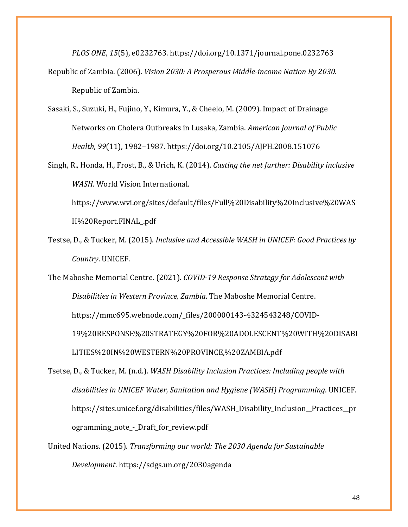*[PLOS ONE](https://www.zotero.org/google-docs/?0xjehV)*[,](https://www.zotero.org/google-docs/?0xjehV) *[15](https://www.zotero.org/google-docs/?0xjehV)*[\(5\), e0232763. https://doi.org/10.1371/journal.pone.0232763](https://www.zotero.org/google-docs/?0xjehV) [Republic of Zambia. \(2006\).](https://www.zotero.org/google-docs/?0xjehV) *[Vision 2030: A Prosperous Middle-income Nation By 2030](https://www.zotero.org/google-docs/?0xjehV)*[.](https://www.zotero.org/google-docs/?0xjehV)  [Republic of Zambia.](https://www.zotero.org/google-docs/?0xjehV)

[Sasaki, S., Suzuki, H., Fujino, Y., Kimura, Y., & Cheelo, M. \(2009\). Impact of Drainage](https://www.zotero.org/google-docs/?0xjehV)  [Networks on Cholera Outbreaks in Lusaka, Zambia.](https://www.zotero.org/google-docs/?0xjehV) *[American Journal of Public](https://www.zotero.org/google-docs/?0xjehV)  [Health](https://www.zotero.org/google-docs/?0xjehV)*[,](https://www.zotero.org/google-docs/?0xjehV) *[99](https://www.zotero.org/google-docs/?0xjehV)*[\(11\), 1982–1987. https://doi.org/10.2105/AJPH.2008.151076](https://www.zotero.org/google-docs/?0xjehV)

[Singh, R., Honda, H., Frost, B., & Urich, K. \(2014\).](https://www.zotero.org/google-docs/?0xjehV) *[Casting the net further: Disability inclusive](https://www.zotero.org/google-docs/?0xjehV)  [WASH](https://www.zotero.org/google-docs/?0xjehV)*[. World Vision International.](https://www.zotero.org/google-docs/?0xjehV) 

[https://www.wvi.org/sites/default/files/Full%20Disability%20Inclusive%20WAS](https://www.zotero.org/google-docs/?0xjehV) [H%20Report.FINAL\\_.pdf](https://www.zotero.org/google-docs/?0xjehV)

[Testse, D., & Tucker, M. \(2015\).](https://www.zotero.org/google-docs/?0xjehV) *[Inclusive and Accessible WASH in UNICEF: Good Practices by](https://www.zotero.org/google-docs/?0xjehV)  [Country](https://www.zotero.org/google-docs/?0xjehV)*[. UNICEF.](https://www.zotero.org/google-docs/?0xjehV)

[The Maboshe Memorial Centre. \(2021\).](https://www.zotero.org/google-docs/?0xjehV) *[COVID-19 Response Strategy for Adolescent with](https://www.zotero.org/google-docs/?0xjehV)  [Disabilities in Western Province, Zambia](https://www.zotero.org/google-docs/?0xjehV)*[. The Maboshe Memorial Centre.](https://www.zotero.org/google-docs/?0xjehV)  [https://mmc695.webnode.com/\\_files/200000143-4324543248/COVID-](https://www.zotero.org/google-docs/?0xjehV)[19%20RESPONSE%20STRATEGY%20FOR%20ADOLESCENT%20WITH%20DISABI](https://www.zotero.org/google-docs/?0xjehV) [LITIES%20IN%20WESTERN%20PROVINCE,%20ZAMBIA.pdf](https://www.zotero.org/google-docs/?0xjehV)

[Tsetse, D., & Tucker, M. \(n.d.\).](https://www.zotero.org/google-docs/?0xjehV) *[WASH Disability Inclusion Practices: Including people with](https://www.zotero.org/google-docs/?0xjehV)  [disabilities in UNICEF Water, Sanitation and Hygiene \(WASH\) Programming](https://www.zotero.org/google-docs/?0xjehV)*[. UNICEF.](https://www.zotero.org/google-docs/?0xjehV)  [https://sites.unicef.org/disabilities/files/WASH\\_Disability\\_Inclusion\\_\\_Practices\\_\\_pr](https://www.zotero.org/google-docs/?0xjehV) [ogramming\\_note\\_-\\_Draft\\_for\\_review.pdf](https://www.zotero.org/google-docs/?0xjehV)

[United Nations. \(2015\).](https://www.zotero.org/google-docs/?0xjehV) *[Transforming our world: The 2030 Agenda for Sustainable](https://www.zotero.org/google-docs/?0xjehV)  [Development](https://www.zotero.org/google-docs/?0xjehV)*[. https://sdgs.un.org/2030agenda](https://www.zotero.org/google-docs/?0xjehV)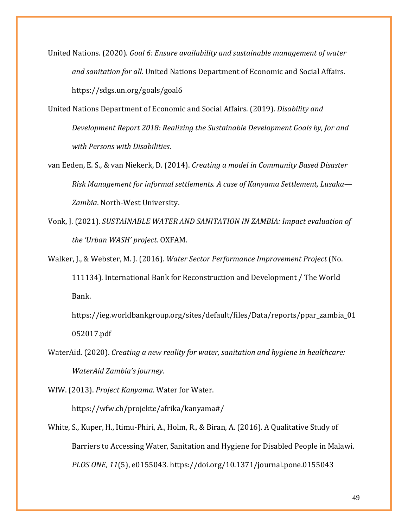[United Nations. \(2020\).](https://www.zotero.org/google-docs/?0xjehV) *[Goal 6: Ensure availability and sustainable management of water](https://www.zotero.org/google-docs/?0xjehV)  [and sanitation for all](https://www.zotero.org/google-docs/?0xjehV)*[. United Nations Department of Economic and Social Affairs.](https://www.zotero.org/google-docs/?0xjehV)  [https://sdgs.un.org/goals/goal6](https://www.zotero.org/google-docs/?0xjehV)

[United Nations Department of Economic and Social Affairs. \(2019\).](https://www.zotero.org/google-docs/?0xjehV) *[Disability and](https://www.zotero.org/google-docs/?0xjehV)  [Development Report 2018: Realizing the Sustainable Development Goals by, for and](https://www.zotero.org/google-docs/?0xjehV)  [with Persons with Disabilities](https://www.zotero.org/google-docs/?0xjehV)*[.](https://www.zotero.org/google-docs/?0xjehV)

[van Eeden, E. S., & van Niekerk, D. \(2014\).](https://www.zotero.org/google-docs/?0xjehV) *[Creating a model in Community Based Disaster](https://www.zotero.org/google-docs/?0xjehV)  [Risk Management for informal settlements. A case of Kanyama Settlement, Lusaka—](https://www.zotero.org/google-docs/?0xjehV) [Zambia](https://www.zotero.org/google-docs/?0xjehV)*[. North-West University.](https://www.zotero.org/google-docs/?0xjehV)

[Vonk, J. \(2021\).](https://www.zotero.org/google-docs/?0xjehV) *[SUSTAINABLE WATER AND SANITATION IN ZAMBIA: Impact evaluation of](https://www.zotero.org/google-docs/?0xjehV)  [the 'Urban WASH' project](https://www.zotero.org/google-docs/?0xjehV)*[. OXFAM.](https://www.zotero.org/google-docs/?0xjehV)

[Walker, J., & Webster, M. J. \(2016\).](https://www.zotero.org/google-docs/?0xjehV) *[Water Sector Performance Improvement Project](https://www.zotero.org/google-docs/?0xjehV)* [\(No.](https://www.zotero.org/google-docs/?0xjehV)  [111134\). International Bank for Reconstruction and Development / The World](https://www.zotero.org/google-docs/?0xjehV)  [Bank.](https://www.zotero.org/google-docs/?0xjehV) 

[https://ieg.worldbankgroup.org/sites/default/files/Data/reports/ppar\\_zambia\\_01](https://www.zotero.org/google-docs/?0xjehV) [052017.pdf](https://www.zotero.org/google-docs/?0xjehV)

[WaterAid. \(2020\).](https://www.zotero.org/google-docs/?0xjehV) *[Creating a new reality for water, sanitation and hygiene in healthcare:](https://www.zotero.org/google-docs/?0xjehV)  [WaterAid Zambia's journey](https://www.zotero.org/google-docs/?0xjehV)*[.](https://www.zotero.org/google-docs/?0xjehV)

[WfW. \(2013\).](https://www.zotero.org/google-docs/?0xjehV) *[Project Kanyama](https://www.zotero.org/google-docs/?0xjehV)*[. Water for Water.](https://www.zotero.org/google-docs/?0xjehV)  [https://wfw.ch/projekte/afrika/kanyama#/](https://www.zotero.org/google-docs/?0xjehV)

[White, S., Kuper, H., Itimu-Phiri, A., Holm, R., & Biran, A. \(2016\). A Qualitative Study of](https://www.zotero.org/google-docs/?0xjehV)  [Barriers to Accessing Water, Sanitation and Hygiene for Disabled People in Malawi.](https://www.zotero.org/google-docs/?0xjehV)  *[PLOS ONE](https://www.zotero.org/google-docs/?0xjehV)*[,](https://www.zotero.org/google-docs/?0xjehV) *[11](https://www.zotero.org/google-docs/?0xjehV)*[\(5\), e0155043. https://doi.org/10.1371/journal.pone.0155043](https://www.zotero.org/google-docs/?0xjehV)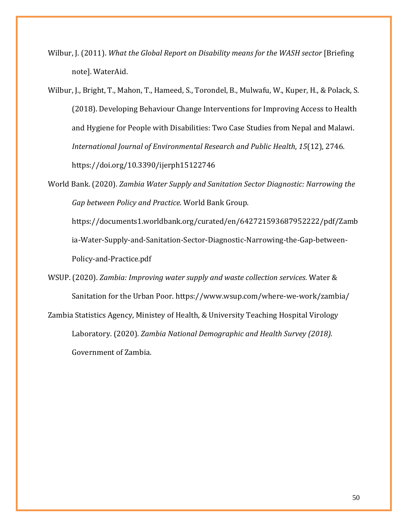[Wilbur, J. \(2011\).](https://www.zotero.org/google-docs/?0xjehV) *[What the Global Report on Disability means for the WASH sector](https://www.zotero.org/google-docs/?0xjehV)* [\[Briefing](https://www.zotero.org/google-docs/?0xjehV)  [note\]. WaterAid.](https://www.zotero.org/google-docs/?0xjehV)

[Wilbur, J., Bright, T., Mahon, T., Hameed, S., Torondel, B., Mulwafu, W., Kuper, H., & Polack, S.](https://www.zotero.org/google-docs/?0xjehV)  [\(2018\). Developing Behaviour Change Interventions for Improving Access to Health](https://www.zotero.org/google-docs/?0xjehV)  [and Hygiene for People with Disabilities: Two Case Studies from Nepal and Malawi.](https://www.zotero.org/google-docs/?0xjehV)  *[International Journal of Environmental Research and Public Health](https://www.zotero.org/google-docs/?0xjehV)*[,](https://www.zotero.org/google-docs/?0xjehV) *[15](https://www.zotero.org/google-docs/?0xjehV)*[\(12\), 2746.](https://www.zotero.org/google-docs/?0xjehV)  [https://doi.org/10.3390/ijerph15122746](https://www.zotero.org/google-docs/?0xjehV)

[World Bank. \(2020\).](https://www.zotero.org/google-docs/?0xjehV) *[Zambia Water Supply and Sanitation Sector Diagnostic: Narrowing the](https://www.zotero.org/google-docs/?0xjehV)  [Gap between Policy and Practice](https://www.zotero.org/google-docs/?0xjehV)*[. World Bank Group.](https://www.zotero.org/google-docs/?0xjehV) 

[https://documents1.worldbank.org/curated/en/642721593687952222/pdf/Zamb](https://www.zotero.org/google-docs/?0xjehV) [ia-Water-Supply-and-Sanitation-Sector-Diagnostic-Narrowing-the-Gap-between-](https://www.zotero.org/google-docs/?0xjehV)[Policy-and-Practice.pdf](https://www.zotero.org/google-docs/?0xjehV)

[WSUP. \(2020\).](https://www.zotero.org/google-docs/?0xjehV) *[Zambia: Improving water supply and waste collection services](https://www.zotero.org/google-docs/?0xjehV)*[. Water &](https://www.zotero.org/google-docs/?0xjehV)  [Sanitation for the Urban Poor. https://www.wsup.com/where-we-work/zambia/](https://www.zotero.org/google-docs/?0xjehV) [Zambia Statistics Agency, Ministey of Health, & University Teaching Hospital Virology](https://www.zotero.org/google-docs/?0xjehV)  [Laboratory. \(2020\).](https://www.zotero.org/google-docs/?0xjehV) *[Zambia National Demographic and Health Survey \(2018\)](https://www.zotero.org/google-docs/?0xjehV)*[.](https://www.zotero.org/google-docs/?0xjehV)  [Government of Zambia.](https://www.zotero.org/google-docs/?0xjehV)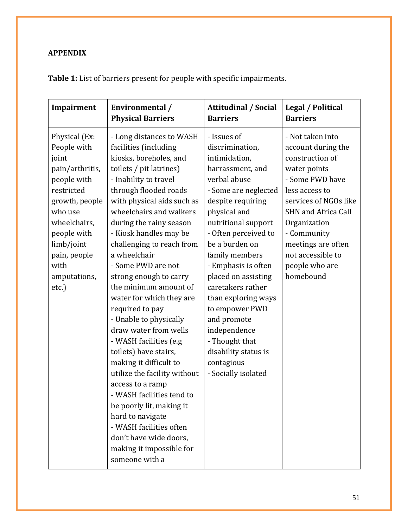# **APPENDIX**

| Impairment                                                                                                                                                                                                       | Environmental /                                                                                                                                                                                                                                                                                                                                                                                                                                                                                                                                                                                                                                                                                                                                                                                                 | <b>Attitudinal / Social</b>                                                                                                                                                                                                                                                                                                                                                                                                                                   | <b>Legal / Political</b>                                                                                                                                                                                                                                                       |
|------------------------------------------------------------------------------------------------------------------------------------------------------------------------------------------------------------------|-----------------------------------------------------------------------------------------------------------------------------------------------------------------------------------------------------------------------------------------------------------------------------------------------------------------------------------------------------------------------------------------------------------------------------------------------------------------------------------------------------------------------------------------------------------------------------------------------------------------------------------------------------------------------------------------------------------------------------------------------------------------------------------------------------------------|---------------------------------------------------------------------------------------------------------------------------------------------------------------------------------------------------------------------------------------------------------------------------------------------------------------------------------------------------------------------------------------------------------------------------------------------------------------|--------------------------------------------------------------------------------------------------------------------------------------------------------------------------------------------------------------------------------------------------------------------------------|
|                                                                                                                                                                                                                  | <b>Physical Barriers</b>                                                                                                                                                                                                                                                                                                                                                                                                                                                                                                                                                                                                                                                                                                                                                                                        | <b>Barriers</b>                                                                                                                                                                                                                                                                                                                                                                                                                                               | <b>Barriers</b>                                                                                                                                                                                                                                                                |
| Physical (Ex:<br>People with<br>joint<br>pain/arthritis,<br>people with<br>restricted<br>growth, people<br>who use<br>wheelchairs,<br>people with<br>limb/joint<br>pain, people<br>with<br>amputations,<br>etc.) | - Long distances to WASH<br>facilities (including<br>kiosks, boreholes, and<br>toilets / pit latrines)<br>- Inability to travel<br>through flooded roads<br>with physical aids such as<br>wheelchairs and walkers<br>during the rainy season<br>- Kiosk handles may be<br>challenging to reach from<br>a wheelchair<br>- Some PWD are not<br>strong enough to carry<br>the minimum amount of<br>water for which they are<br>required to pay<br>- Unable to physically<br>draw water from wells<br>- WASH facilities (e.g<br>toilets) have stairs,<br>making it difficult to<br>utilize the facility without<br>access to a ramp<br>- WASH facilities tend to<br>be poorly lit, making it<br>hard to navigate<br>- WASH facilities often<br>don't have wide doors,<br>making it impossible for<br>someone with a | - Issues of<br>discrimination,<br>intimidation,<br>harrassment, and<br>verbal abuse<br>- Some are neglected<br>despite requiring<br>physical and<br>nutritional support<br>- Often perceived to<br>be a burden on<br>family members<br>- Emphasis is often<br>placed on assisting<br>caretakers rather<br>than exploring ways<br>to empower PWD<br>and promote<br>independence<br>- Thought that<br>disability status is<br>contagious<br>- Socially isolated | - Not taken into<br>account during the<br>construction of<br>water points<br>- Some PWD have<br>less access to<br>services of NGOs like<br><b>SHN and Africa Call</b><br>Organization<br>- Community<br>meetings are often<br>not accessible to<br>people who are<br>homebound |

**Table 1:** List of barriers present for people with specific impairments.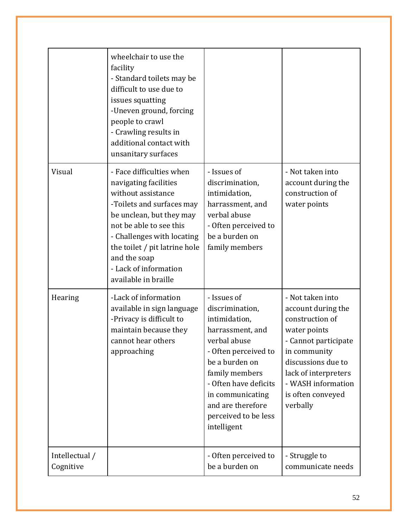|                             | wheelchair to use the<br>facility<br>- Standard toilets may be<br>difficult to use due to<br>issues squatting<br>-Uneven ground, forcing<br>people to crawl<br>- Crawling results in<br>additional contact with<br>unsanitary surfaces                                                      |                                                                                                                                                                                                                                                          |                                                                                                                                                                                                                        |
|-----------------------------|---------------------------------------------------------------------------------------------------------------------------------------------------------------------------------------------------------------------------------------------------------------------------------------------|----------------------------------------------------------------------------------------------------------------------------------------------------------------------------------------------------------------------------------------------------------|------------------------------------------------------------------------------------------------------------------------------------------------------------------------------------------------------------------------|
| Visual                      | - Face difficulties when<br>navigating facilities<br>without assistance<br>-Toilets and surfaces may<br>be unclean, but they may<br>not be able to see this<br>- Challenges with locating<br>the toilet / pit latrine hole<br>and the soap<br>- Lack of information<br>available in braille | - Issues of<br>discrimination,<br>intimidation,<br>harrassment, and<br>verbal abuse<br>- Often perceived to<br>be a burden on<br>family members                                                                                                          | - Not taken into<br>account during the<br>construction of<br>water points                                                                                                                                              |
| Hearing                     | -Lack of information<br>available in sign language<br>-Privacy is difficult to<br>maintain because they<br>cannot hear others<br>approaching                                                                                                                                                | - Issues of<br>discrimination,<br>intimidation,<br>harrassment, and<br>verbal abuse<br>- Often perceived to<br>be a burden on<br>family members<br>- Often have deficits<br>in communicating<br>and are therefore<br>perceived to be less<br>intelligent | - Not taken into<br>account during the<br>construction of<br>water points<br>- Cannot participate<br>in community<br>discussions due to<br>lack of interpreters<br>- WASH information<br>is often conveyed<br>verbally |
| Intellectual /<br>Cognitive |                                                                                                                                                                                                                                                                                             | - Often perceived to<br>be a burden on                                                                                                                                                                                                                   | - Struggle to<br>communicate needs                                                                                                                                                                                     |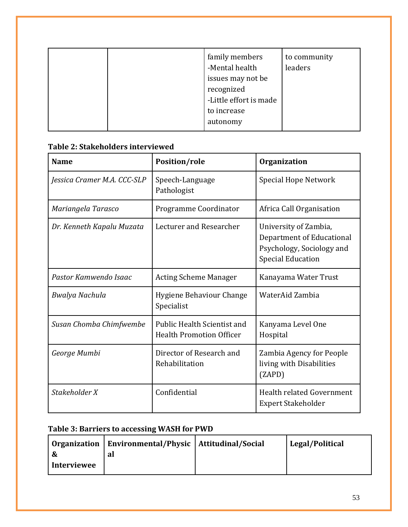| family members<br>-Mental health<br>issues may not be<br>recognized<br>-Little effort is made | to community<br>leaders |
|-----------------------------------------------------------------------------------------------|-------------------------|
| to increase                                                                                   |                         |
| autonomy                                                                                      |                         |

# **Name Position/role Organization** *Jessica Cramer M.A. CCC-SLP* Speech-Language Pathologist Special Hope Network *Mariangela Tarasco* | Programme Coordinator | Africa Call Organisation *Dr. Kenneth Kapalu Muzata* | Lecturer and Researcher | University of Zambia, Department of Educational Psychology, Sociology and Special Education Pastor Kamwendo Isaac | Acting Scheme Manager | Kanayama Water Trust *Bwalya Nachula* **Hygiene Behaviour Change** Specialist WaterAid Zambia *Susan Chomba Chimfwembe* | Public Health Scientist and Health Promotion Officer Kanyama Level One Hospital *George Mumbi* **Director of Research and** Rehabilitation Zambia Agency for People living with Disabilities (ZAPD) *Stakeholder X* Confidential Integrated Government Expert Stakeholder

# **Table 2: Stakeholders interviewed**

# **Table 3: Barriers to accessing WASH for PWD**

|                    | Organization   Environmental/Physic   Attitudinal/Social | Legal/Political |
|--------------------|----------------------------------------------------------|-----------------|
|                    | a                                                        |                 |
| <b>Interviewee</b> |                                                          |                 |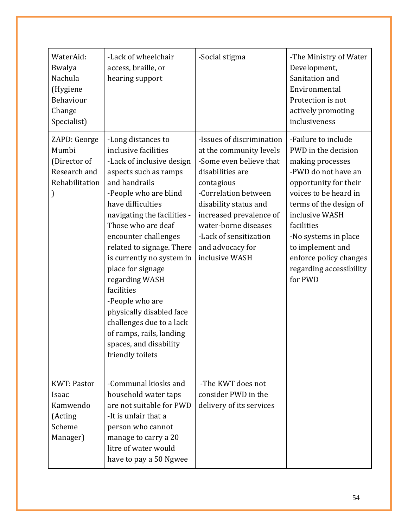| WaterAid:<br>Bwalya<br>Nachula<br>(Hygiene<br>Behaviour<br>Change<br>Specialist) | -Lack of wheelchair<br>access, braille, or<br>hearing support                                                                                                                                                                                                                                                                                                                                                                                                                                                    | -Social stigma                                                                                                                                                                                                                                                                        | -The Ministry of Water<br>Development,<br>Sanitation and<br>Environmental<br>Protection is not<br>actively promoting<br>inclusiveness                                                                                                                                                                         |
|----------------------------------------------------------------------------------|------------------------------------------------------------------------------------------------------------------------------------------------------------------------------------------------------------------------------------------------------------------------------------------------------------------------------------------------------------------------------------------------------------------------------------------------------------------------------------------------------------------|---------------------------------------------------------------------------------------------------------------------------------------------------------------------------------------------------------------------------------------------------------------------------------------|---------------------------------------------------------------------------------------------------------------------------------------------------------------------------------------------------------------------------------------------------------------------------------------------------------------|
| ZAPD: George<br>Mumbi<br>(Director of<br>Research and<br>Rehabilitation          | -Long distances to<br>inclusive facilities<br>-Lack of inclusive design<br>aspects such as ramps<br>and handrails<br>-People who are blind<br>have difficulties<br>navigating the facilities -<br>Those who are deaf<br>encounter challenges<br>related to signage. There<br>is currently no system in<br>place for signage<br>regarding WASH<br>facilities<br>-People who are<br>physically disabled face<br>challenges due to a lack<br>of ramps, rails, landing<br>spaces, and disability<br>friendly toilets | -Issues of discrimination<br>at the community levels<br>-Some even believe that<br>disabilities are<br>contagious<br>-Correlation between<br>disability status and<br>increased prevalence of<br>water-borne diseases<br>-Lack of sensitization<br>and advocacy for<br>inclusive WASH | -Failure to include<br>PWD in the decision<br>making processes<br>-PWD do not have an<br>opportunity for their<br>voices to be heard in<br>terms of the design of<br>inclusive WASH<br>facilities<br>-No systems in place<br>to implement and<br>enforce policy changes<br>regarding accessibility<br>for PWD |
| <b>KWT</b> : Pastor<br>Isaac<br>Kamwendo<br>(Acting<br>Scheme<br>Manager)        | -Communal kiosks and<br>household water taps<br>are not suitable for PWD<br>-It is unfair that a<br>person who cannot<br>manage to carry a 20<br>litre of water would<br>have to pay a 50 Ngwee                                                                                                                                                                                                                                                                                                                  | -The KWT does not<br>consider PWD in the<br>delivery of its services                                                                                                                                                                                                                  |                                                                                                                                                                                                                                                                                                               |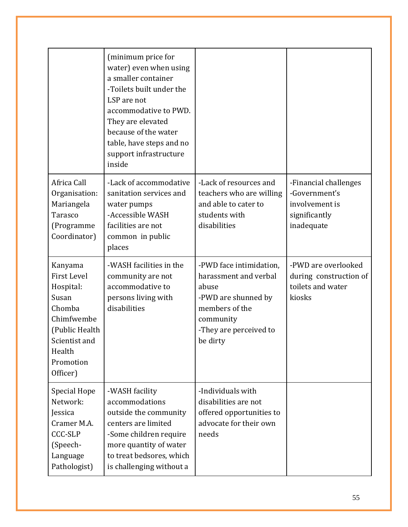|                                                                                                                                                   | (minimum price for<br>water) even when using<br>a smaller container<br>-Toilets built under the<br>LSP are not<br>accommodative to PWD.<br>They are elevated<br>because of the water<br>table, have steps and no<br>support infrastructure<br>inside |                                                                                                                                                       |                                                                                         |
|---------------------------------------------------------------------------------------------------------------------------------------------------|------------------------------------------------------------------------------------------------------------------------------------------------------------------------------------------------------------------------------------------------------|-------------------------------------------------------------------------------------------------------------------------------------------------------|-----------------------------------------------------------------------------------------|
| Africa Call<br>Organisation:<br>Mariangela<br>Tarasco<br>(Programme<br>Coordinator)                                                               | -Lack of accommodative<br>sanitation services and<br>water pumps<br>-Accessible WASH<br>facilities are not<br>common in public<br>places                                                                                                             | -Lack of resources and<br>teachers who are willing<br>and able to cater to<br>students with<br>disabilities                                           | -Financial challenges<br>-Government's<br>involvement is<br>significantly<br>inadequate |
| Kanyama<br><b>First Level</b><br>Hospital:<br>Susan<br>Chomba<br>Chimfwembe<br>(Public Health<br>Scientist and<br>Health<br>Promotion<br>Officer) | -WASH facilities in the<br>community are not<br>accommodative to<br>persons living with<br>disabilities                                                                                                                                              | -PWD face intimidation,<br>harassment and verbal<br>abuse<br>-PWD are shunned by<br>members of the<br>community<br>-They are perceived to<br>be dirty | -PWD are overlooked<br>during construction of<br>toilets and water<br>kiosks            |
| Special Hope<br>Network:<br>Jessica<br>Cramer M.A.<br><b>CCC-SLP</b><br>(Speech-<br>Language<br>Pathologist)                                      | -WASH facility<br>accommodations<br>outside the community<br>centers are limited<br>-Some children require<br>more quantity of water<br>to treat bedsores, which<br>is challenging without a                                                         | -Individuals with<br>disabilities are not<br>offered opportunities to<br>advocate for their own<br>needs                                              |                                                                                         |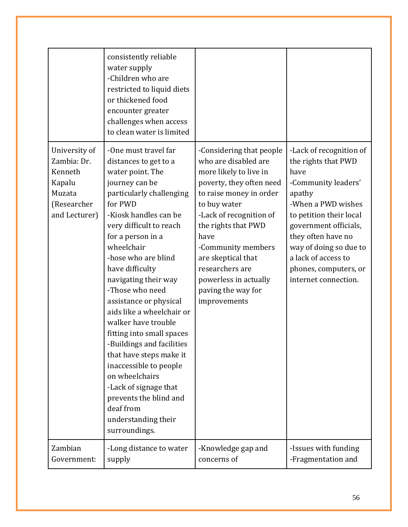|                                                                                             | consistently reliable<br>water supply<br>-Children who are<br>restricted to liquid diets<br>or thickened food<br>encounter greater<br>challenges when access<br>to clean water is limited                                                                                                                                                                                                                                                                                                                                                                                                                                     |                                                                                                                                                                                                                                                                                                                                           |                                                                                                                                                                                                                                                                                           |
|---------------------------------------------------------------------------------------------|-------------------------------------------------------------------------------------------------------------------------------------------------------------------------------------------------------------------------------------------------------------------------------------------------------------------------------------------------------------------------------------------------------------------------------------------------------------------------------------------------------------------------------------------------------------------------------------------------------------------------------|-------------------------------------------------------------------------------------------------------------------------------------------------------------------------------------------------------------------------------------------------------------------------------------------------------------------------------------------|-------------------------------------------------------------------------------------------------------------------------------------------------------------------------------------------------------------------------------------------------------------------------------------------|
| University of<br>Zambia: Dr.<br>Kenneth<br>Kapalu<br>Muzata<br>(Researcher<br>and Lecturer) | -One must travel far<br>distances to get to a<br>water point. The<br>journey can be<br>particularly challenging<br>for PWD<br>-Kiosk handles can be<br>very difficult to reach<br>for a person in a<br>wheelchair<br>-hose who are blind<br>have difficulty<br>navigating their way<br>-Those who need<br>assistance or physical<br>aids like a wheelchair or<br>walker have trouble<br>fitting into small spaces<br>-Buildings and facilities<br>that have steps make it<br>inaccessible to people<br>on wheelchairs<br>-Lack of signage that<br>prevents the blind and<br>deaf from<br>understanding their<br>surroundings. | -Considering that people<br>who are disabled are<br>more likely to live in<br>poverty, they often need<br>to raise money in order<br>to buy water<br>-Lack of recognition of<br>the rights that PWD<br>have<br>-Community members<br>are skeptical that<br>researchers are<br>powerless in actually<br>paving the way for<br>improvements | -Lack of recognition of<br>the rights that PWD<br>have<br>-Community leaders'<br>apathy<br>-When a PWD wishes<br>to petition their local<br>government officials,<br>they often have no<br>way of doing so due to<br>a lack of access to<br>phones, computers, or<br>internet connection. |
| Zambian<br>Government:                                                                      | -Long distance to water<br>supply                                                                                                                                                                                                                                                                                                                                                                                                                                                                                                                                                                                             | -Knowledge gap and<br>concerns of                                                                                                                                                                                                                                                                                                         | -Issues with funding<br>-Fragmentation and                                                                                                                                                                                                                                                |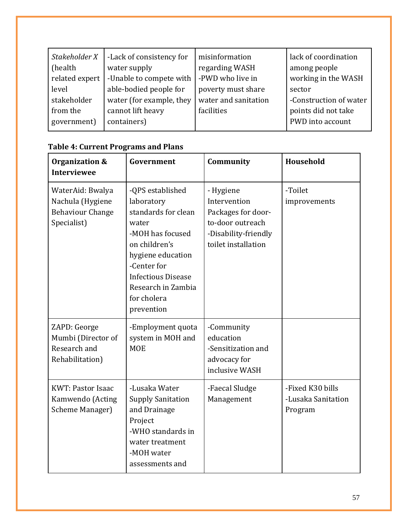| Stakeholder X<br>(health | -Lack of consistency for<br>water supply | misinformation<br>regarding WASH | lack of coordination<br>among people |
|--------------------------|------------------------------------------|----------------------------------|--------------------------------------|
| related expert           | -Unable to compete with                  | -PWD who live in                 | working in the WASH                  |
| level                    | able-bodied people for                   | poverty must share               | sector                               |
| stakeholder              | water (for example, they                 | water and sanitation             | -Construction of water               |
| from the                 | cannot lift heavy                        | facilities                       | points did not take                  |
| government)              | containers)                              |                                  | PWD into account                     |
|                          |                                          |                                  |                                      |

| Organization &<br><b>Interviewee</b>                                           | Government                                                                                                                                                                                                              | Community                                                                                                          | Household                                         |
|--------------------------------------------------------------------------------|-------------------------------------------------------------------------------------------------------------------------------------------------------------------------------------------------------------------------|--------------------------------------------------------------------------------------------------------------------|---------------------------------------------------|
| WaterAid: Bwalya<br>Nachula (Hygiene<br><b>Behaviour Change</b><br>Specialist) | -QPS established<br>laboratory<br>standards for clean<br>water<br>-MOH has focused<br>on children's<br>hygiene education<br>-Center for<br><b>Infectious Disease</b><br>Research in Zambia<br>for cholera<br>prevention | - Hygiene<br>Intervention<br>Packages for door-<br>to-door outreach<br>-Disability-friendly<br>toilet installation | -Toilet<br>improvements                           |
| ZAPD: George<br>Mumbi (Director of<br>Research and<br>Rehabilitation)          | -Employment quota<br>system in MOH and<br><b>MOE</b>                                                                                                                                                                    | -Community<br>education<br>-Sensitization and<br>advocacy for<br>inclusive WASH                                    |                                                   |
| <b>KWT</b> : Pastor Isaac<br>Kamwendo (Acting<br>Scheme Manager)               | -Lusaka Water<br><b>Supply Sanitation</b><br>and Drainage<br>Project<br>-WHO standards in<br>water treatment<br>-MOH water<br>assessments and                                                                           | -Faecal Sludge<br>Management                                                                                       | -Fixed K30 bills<br>-Lusaka Sanitation<br>Program |

# **Table 4: Current Programs and Plans**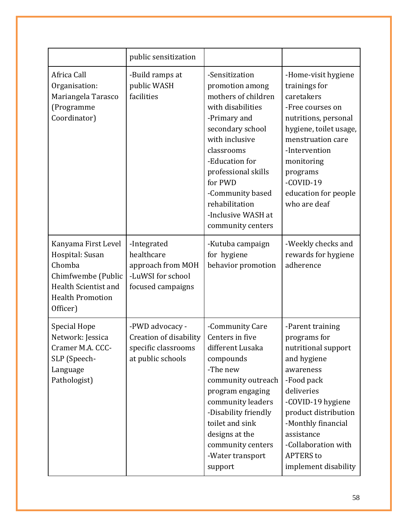|                                                                                                                                       | public sensitization                                                                     |                                                                                                                                                                                                                                                                                        |                                                                                                                                                                                                                                                                     |
|---------------------------------------------------------------------------------------------------------------------------------------|------------------------------------------------------------------------------------------|----------------------------------------------------------------------------------------------------------------------------------------------------------------------------------------------------------------------------------------------------------------------------------------|---------------------------------------------------------------------------------------------------------------------------------------------------------------------------------------------------------------------------------------------------------------------|
| Africa Call<br>Organisation:<br>Mariangela Tarasco<br>(Programme<br>Coordinator)                                                      | -Build ramps at<br>public WASH<br>facilities                                             | -Sensitization<br>promotion among<br>mothers of children<br>with disabilities<br>-Primary and<br>secondary school<br>with inclusive<br>classrooms<br>-Education for<br>professional skills<br>for PWD<br>-Community based<br>rehabilitation<br>-Inclusive WASH at<br>community centers | -Home-visit hygiene<br>trainings for<br>caretakers<br>-Free courses on<br>nutritions, personal<br>hygiene, toilet usage,<br>menstruation care<br>-Intervention<br>monitoring<br>programs<br>-COVID-19<br>education for people<br>who are deaf                       |
| Kanyama First Level<br>Hospital: Susan<br>Chomba<br>Chimfwembe (Public<br>Health Scientist and<br><b>Health Promotion</b><br>Officer) | -Integrated<br>healthcare<br>approach from MOH<br>-LuWSI for school<br>focused campaigns | -Kutuba campaign<br>for hygiene<br>behavior promotion                                                                                                                                                                                                                                  | -Weekly checks and<br>rewards for hygiene<br>adherence                                                                                                                                                                                                              |
| Special Hope<br>Network: Jessica<br>Cramer M.A. CCC-<br>SLP (Speech-<br>Language<br>Pathologist)                                      | -PWD advocacy -<br>Creation of disability<br>specific classrooms<br>at public schools    | -Community Care<br>Centers in five<br>different Lusaka<br>compounds<br>-The new<br>community outreach<br>program engaging<br>community leaders<br>-Disability friendly<br>toilet and sink<br>designs at the<br>community centers<br>-Water transport<br>support                        | -Parent training<br>programs for<br>nutritional support<br>and hygiene<br>awareness<br>-Food pack<br>deliveries<br>-COVID-19 hygiene<br>product distribution<br>-Monthly financial<br>assistance<br>-Collaboration with<br><b>APTERS</b> to<br>implement disability |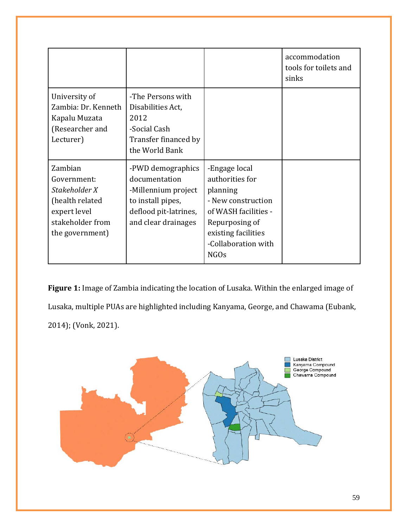|                                                                                                                   |                                                                                                                                |                                                                                                                                                                           | accommodation<br>tools for toilets and<br>sinks |
|-------------------------------------------------------------------------------------------------------------------|--------------------------------------------------------------------------------------------------------------------------------|---------------------------------------------------------------------------------------------------------------------------------------------------------------------------|-------------------------------------------------|
| University of<br>Zambia: Dr. Kenneth<br>Kapalu Muzata<br>(Researcher and<br>Lecturer)                             | -The Persons with<br>Disabilities Act,<br>2012<br>-Social Cash<br>Transfer financed by<br>the World Bank                       |                                                                                                                                                                           |                                                 |
| Zambian<br>Government:<br>Stakeholder X<br>(health related<br>expert level<br>stakeholder from<br>the government) | -PWD demographics<br>documentation<br>-Millennium project<br>to install pipes,<br>deflood pit-latrines,<br>and clear drainages | -Engage local<br>authorities for<br>planning<br>- New construction<br>of WASH facilities -<br>Repurposing of<br>existing facilities<br>-Collaboration with<br><b>NGOs</b> |                                                 |

**Figure 1:** Image of Zambia indicating the location of Lusaka. Within the enlarged image of Lusaka, multiple PUAs are highlighted including Kanyama, George, and Chawama [\(Eubank,](https://www.zotero.org/google-docs/?01cDby)  [2014\);](https://www.zotero.org/google-docs/?01cDby) [\(Vonk, 2021\).](https://www.zotero.org/google-docs/?KRVzLW)